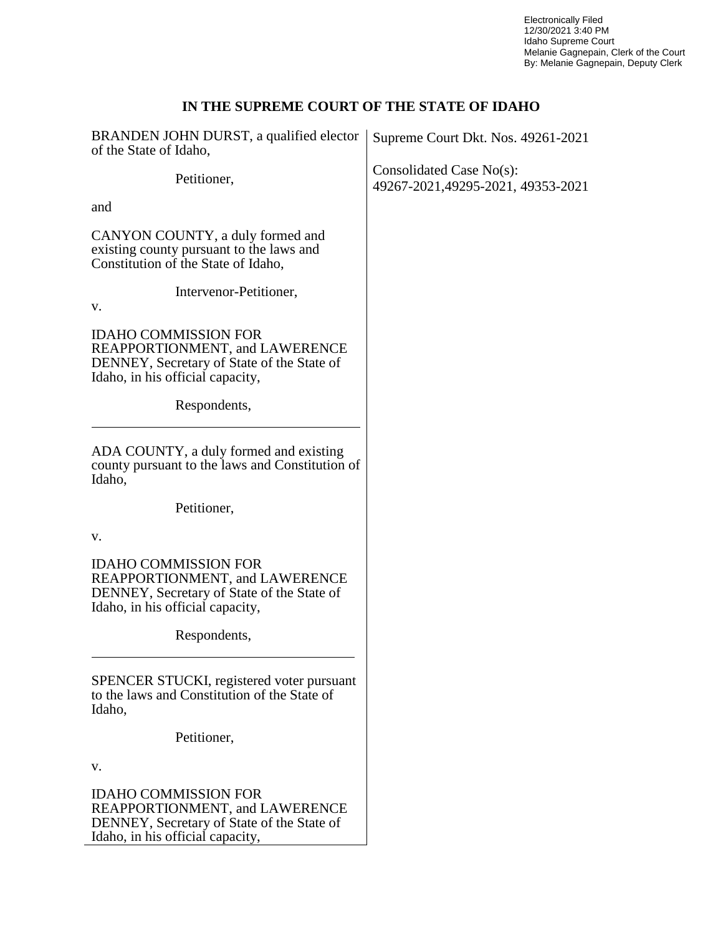Electronically Filed 12/30/2021 3:40 PM Idaho Supreme Court Melanie Gagnepain, Clerk of the Court By: Melanie Gagnepain, Deputy Clerk

### **IN THE SUPREME COURT OF THE STATE OF IDAHO**

| BRANDEN JOHN DURST, a qualified elector<br>of the State of Idaho,                                                                               | Supreme Court Dkt. Nos. 49261-2021                            |
|-------------------------------------------------------------------------------------------------------------------------------------------------|---------------------------------------------------------------|
| Petitioner,                                                                                                                                     | Consolidated Case No(s):<br>49267-2021,49295-2021, 49353-2021 |
| and                                                                                                                                             |                                                               |
| CANYON COUNTY, a duly formed and<br>existing county pursuant to the laws and<br>Constitution of the State of Idaho,                             |                                                               |
| Intervenor-Petitioner,<br>v.                                                                                                                    |                                                               |
| <b>IDAHO COMMISSION FOR</b><br>REAPPORTIONMENT, and LAWERENCE<br>DENNEY, Secretary of State of the State of<br>Idaho, in his official capacity, |                                                               |
| Respondents,                                                                                                                                    |                                                               |
| ADA COUNTY, a duly formed and existing<br>county pursuant to the laws and Constitution of<br>Idaho,                                             |                                                               |
| Petitioner,                                                                                                                                     |                                                               |
| v.                                                                                                                                              |                                                               |
| <b>IDAHO COMMISSION FOR</b><br>REAPPORTIONMENT, and LAWERENCE<br>DENNEY, Secretary of State of the State of<br>Idaho, in his official capacity, |                                                               |
| Respondents,                                                                                                                                    |                                                               |
| SPENCER STUCKI, registered voter pursuant<br>to the laws and Constitution of the State of<br>Idaho,                                             |                                                               |
| Petitioner,                                                                                                                                     |                                                               |
| v.                                                                                                                                              |                                                               |
| <b>IDAHO COMMISSION FOR</b><br>REAPPORTIONMENT, and LAWERENCE<br>DENNEY, Secretary of State of the State of<br>Idaho, in his official capacity, |                                                               |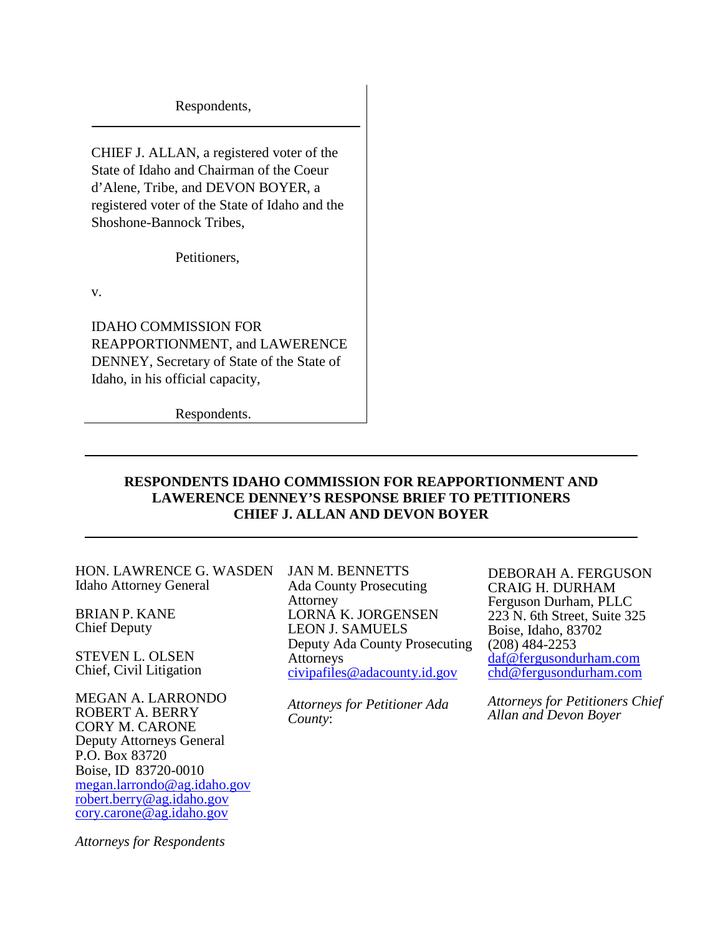Respondents,

CHIEF J. ALLAN, a registered voter of the State of Idaho and Chairman of the Coeur d'Alene, Tribe, and DEVON BOYER, a registered voter of the State of Idaho and the Shoshone-Bannock Tribes,

Petitioners,

v.

IDAHO COMMISSION FOR REAPPORTIONMENT, and LAWERENCE DENNEY, Secretary of State of the State of Idaho, in his official capacity,

Respondents.

### **RESPONDENTS IDAHO COMMISSION FOR REAPPORTIONMENT AND LAWERENCE DENNEY'S RESPONSE BRIEF TO PETITIONERS CHIEF J. ALLAN AND DEVON BOYER**

HON. LAWRENCE G. WASDEN Idaho Attorney General

BRIAN P. KANE Chief Deputy

STEVEN L. OLSEN Chief, Civil Litigation

MEGAN A. LARRONDO ROBERT A. BERRY CORY M. CARONE Deputy Attorneys General P.O. Box 83720 Boise, ID 83720-0010 [megan.larrondo@ag.idaho.gov](mailto:megan.larrondo@ag.idaho.gov) [robert.berry@ag.idaho.gov](mailto:robert.berry@ag.idaho.gov) [cory.carone@ag.idaho.gov](mailto:cory.carone@ag.idaho.gov)

*Attorneys for Respondents*

JAN M. BENNETTS Ada County Prosecuting Attorney LORNA K. JORGENSEN LEON J. SAMUELS Deputy Ada County Prosecuting Attorneys [civipafiles@adacounty.id.gov](mailto:civipafiles@adacounty.id.gov)

*Attorneys for Petitioner Ada County*:

DEBORAH A. FERGUSON CRAIG H. DURHAM Ferguson Durham, PLLC 223 N. 6th Street, Suite 325 Boise, Idaho, 83702  $(208)$  484-2253<br>daf@fergusondurham.com chd@fergusondurham.com

*Attorneys for Petitioners Chief Allan and Devon Boyer*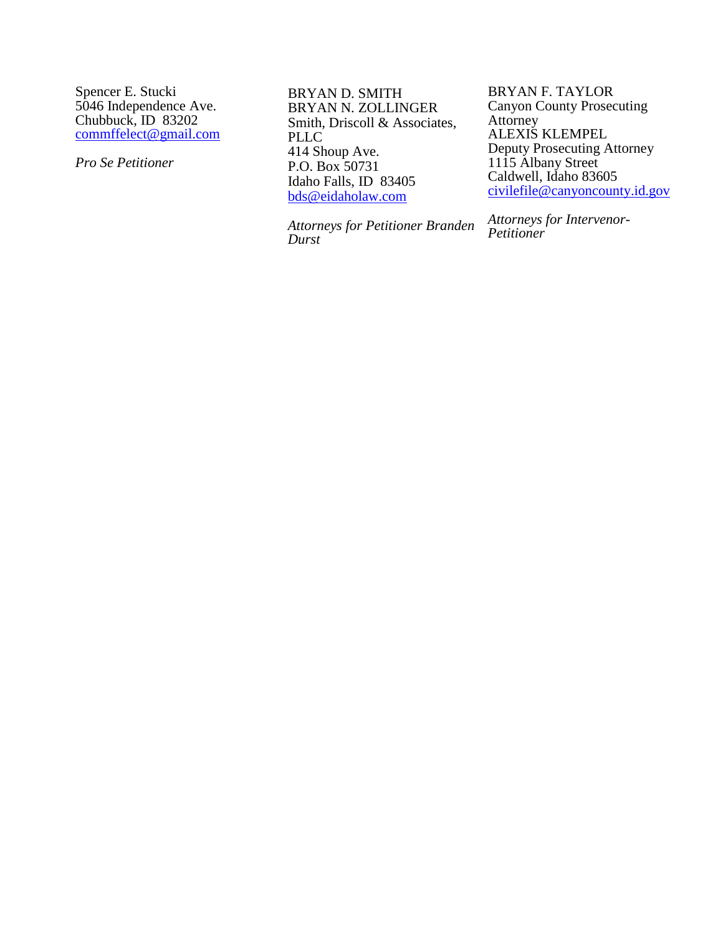Spencer E. Stucki 5046 Independence Ave. Chubbuck, ID 83202 [commffelect@gmail.com](mailto:commffelect@gmail.com) 

*Pro Se Petitioner* 

BRYAN D. SMITH BRYAN N. ZOLLINGER Smith, Driscoll & Associates, PLLC 414 Shoup Ave. P.O. Box 50731 Idaho Falls, ID 83405 [bds@eidaholaw.com](mailto:bds@eidaholaw.com)

*Attorneys for Petitioner Branden Durst*

BRYAN F. TAYLOR Canyon County Prosecuting Attorney ALEXIS KLEMPEL Deputy Prosecuting Attorney 1115 Albany Street Caldwell, Idaho 83605 [civilefile@canyoncounty.id.gov](mailto:civilefile@canyoncounty.id.gov) 

*Attorneys for Intervenor-Petitioner*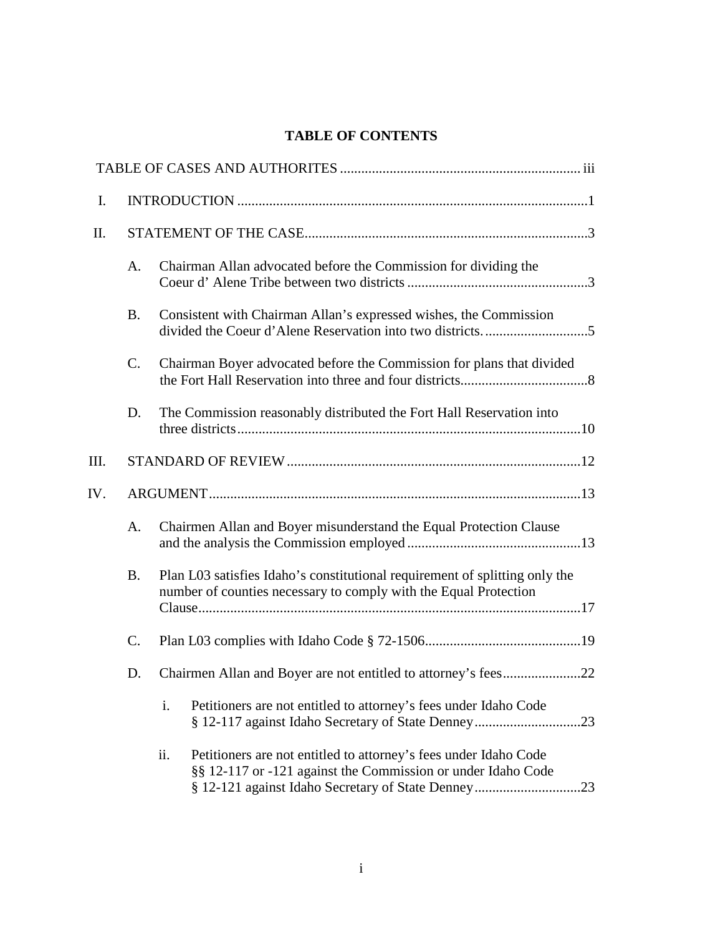### **TABLE OF CONTENTS**

| A.              | Chairman Allan advocated before the Commission for dividing the                                                                                                                               |
|-----------------|-----------------------------------------------------------------------------------------------------------------------------------------------------------------------------------------------|
| <b>B.</b>       | Consistent with Chairman Allan's expressed wishes, the Commission                                                                                                                             |
| $\mathcal{C}$ . | Chairman Boyer advocated before the Commission for plans that divided                                                                                                                         |
| D.              | The Commission reasonably distributed the Fort Hall Reservation into                                                                                                                          |
|                 |                                                                                                                                                                                               |
|                 |                                                                                                                                                                                               |
| A.              | Chairmen Allan and Boyer misunderstand the Equal Protection Clause                                                                                                                            |
| <b>B.</b>       | Plan L03 satisfies Idaho's constitutional requirement of splitting only the<br>number of counties necessary to comply with the Equal Protection                                               |
|                 |                                                                                                                                                                                               |
| D.              |                                                                                                                                                                                               |
|                 | i.<br>Petitioners are not entitled to attorney's fees under Idaho Code                                                                                                                        |
|                 | ii.<br>Petitioners are not entitled to attorney's fees under Idaho Code<br>§§ 12-117 or -121 against the Commission or under Idaho Code<br>§ 12-121 against Idaho Secretary of State Denney23 |
|                 | C.                                                                                                                                                                                            |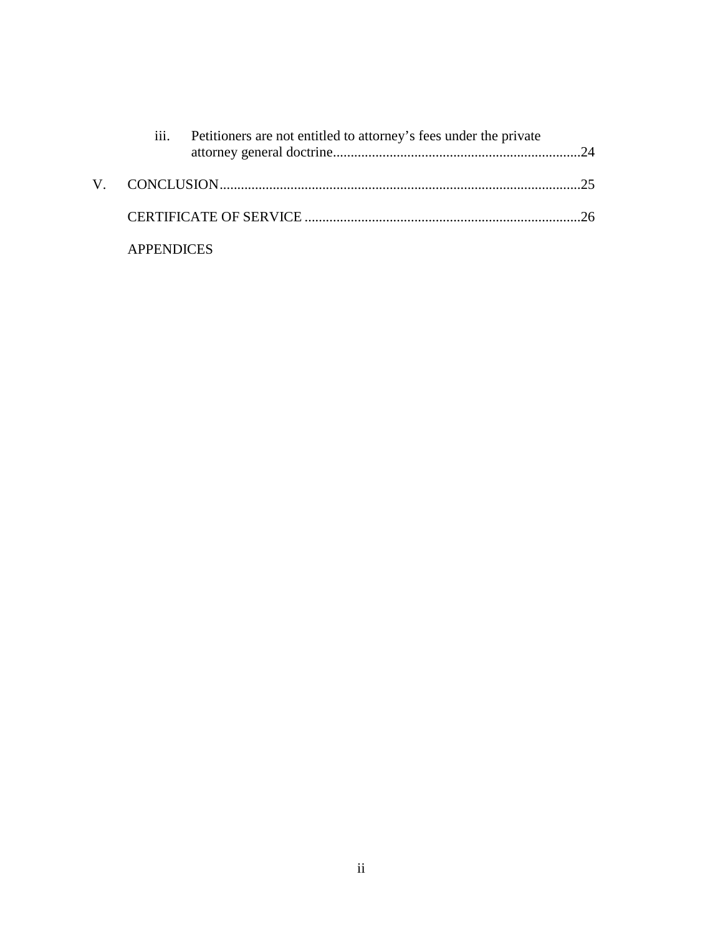|                   | iii. Petitioners are not entitled to attorney's fees under the private |  |
|-------------------|------------------------------------------------------------------------|--|
|                   |                                                                        |  |
|                   |                                                                        |  |
| <b>APPENDICES</b> |                                                                        |  |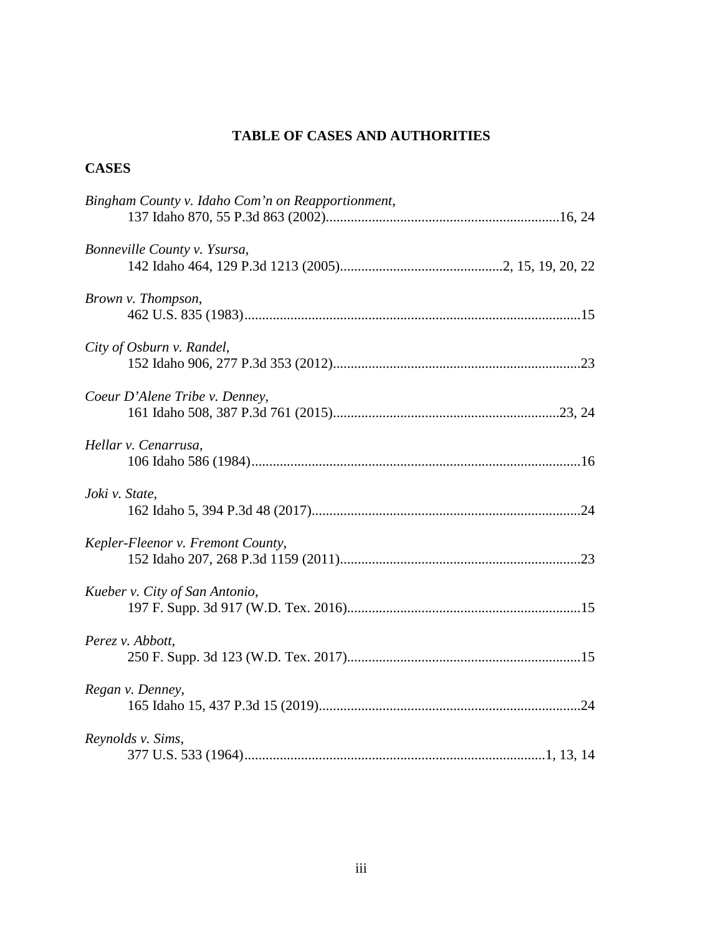### **TABLE OF CASES AND AUTHORITIES**

### **CASES**

| Bingham County v. Idaho Com'n on Reapportionment, |
|---------------------------------------------------|
| Bonneville County v. Ysursa,                      |
| Brown v. Thompson,                                |
| City of Osburn v. Randel,                         |
| Coeur D'Alene Tribe v. Denney,                    |
| Hellar v. Cenarrusa,                              |
| Joki v. State,                                    |
| Kepler-Fleenor v. Fremont County,                 |
| Kueber v. City of San Antonio,                    |
| Perez v. Abbott,                                  |
| Regan v. Denney,                                  |
| Reynolds v. Sims,                                 |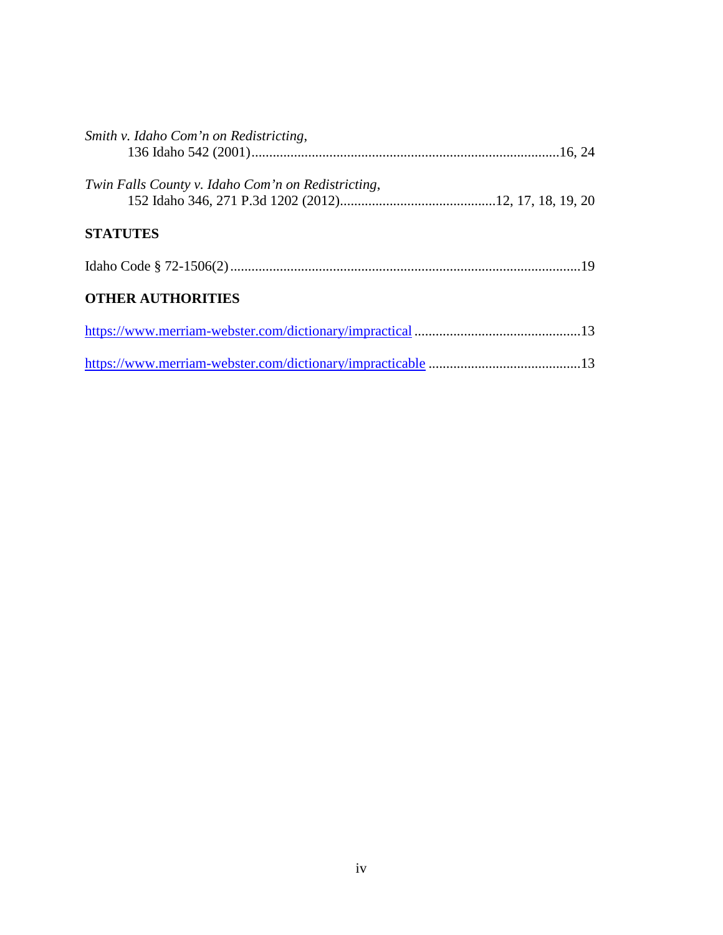| Smith v. Idaho Com'n on Redistricting,             |  |
|----------------------------------------------------|--|
| Twin Falls County v. Idaho Com'n on Redistricting, |  |
| <b>STATUTES</b>                                    |  |
|                                                    |  |
| <b>OTHER AUTHORITIES</b>                           |  |
|                                                    |  |
|                                                    |  |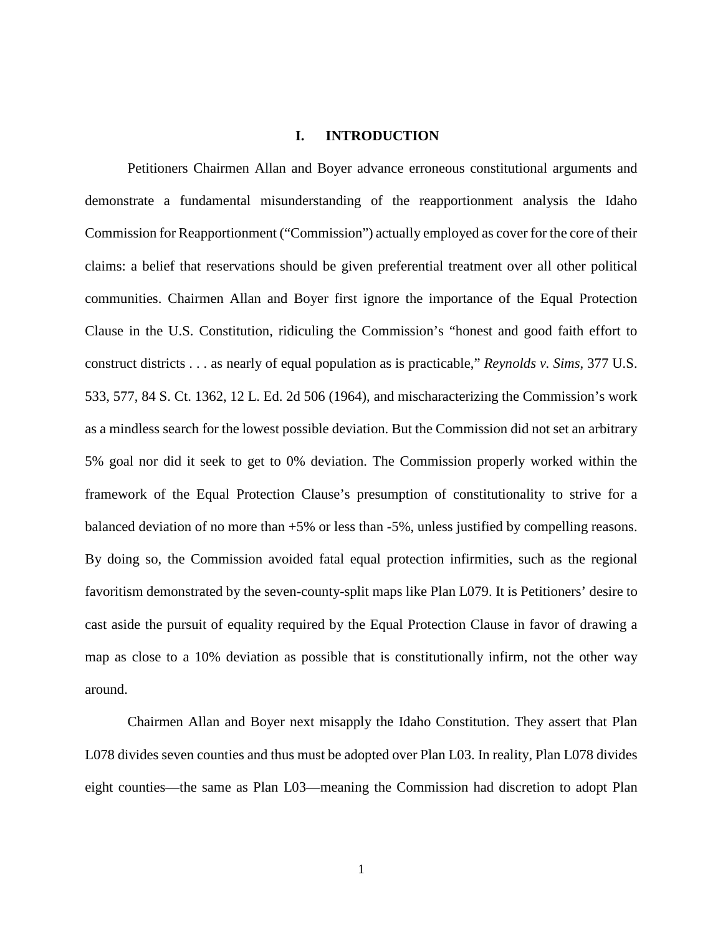### **I. INTRODUCTION**

Petitioners Chairmen Allan and Boyer advance erroneous constitutional arguments and demonstrate a fundamental misunderstanding of the reapportionment analysis the Idaho Commission for Reapportionment ("Commission") actually employed as cover for the core of their claims: a belief that reservations should be given preferential treatment over all other political communities. Chairmen Allan and Boyer first ignore the importance of the Equal Protection Clause in the U.S. Constitution, ridiculing the Commission's "honest and good faith effort to construct districts . . . as nearly of equal population as is practicable," *Reynolds v. Sims*, 377 U.S. 533, 577, 84 S. Ct. 1362, 12 L. Ed. 2d 506 (1964), and mischaracterizing the Commission's work as a mindless search for the lowest possible deviation. But the Commission did not set an arbitrary 5% goal nor did it seek to get to 0% deviation. The Commission properly worked within the framework of the Equal Protection Clause's presumption of constitutionality to strive for a balanced deviation of no more than +5% or less than -5%, unless justified by compelling reasons. By doing so, the Commission avoided fatal equal protection infirmities, such as the regional favoritism demonstrated by the seven-county-split maps like Plan L079. It is Petitioners' desire to cast aside the pursuit of equality required by the Equal Protection Clause in favor of drawing a map as close to a 10% deviation as possible that is constitutionally infirm, not the other way around.

Chairmen Allan and Boyer next misapply the Idaho Constitution. They assert that Plan L078 divides seven counties and thus must be adopted over Plan L03. In reality, Plan L078 divides eight counties—the same as Plan L03—meaning the Commission had discretion to adopt Plan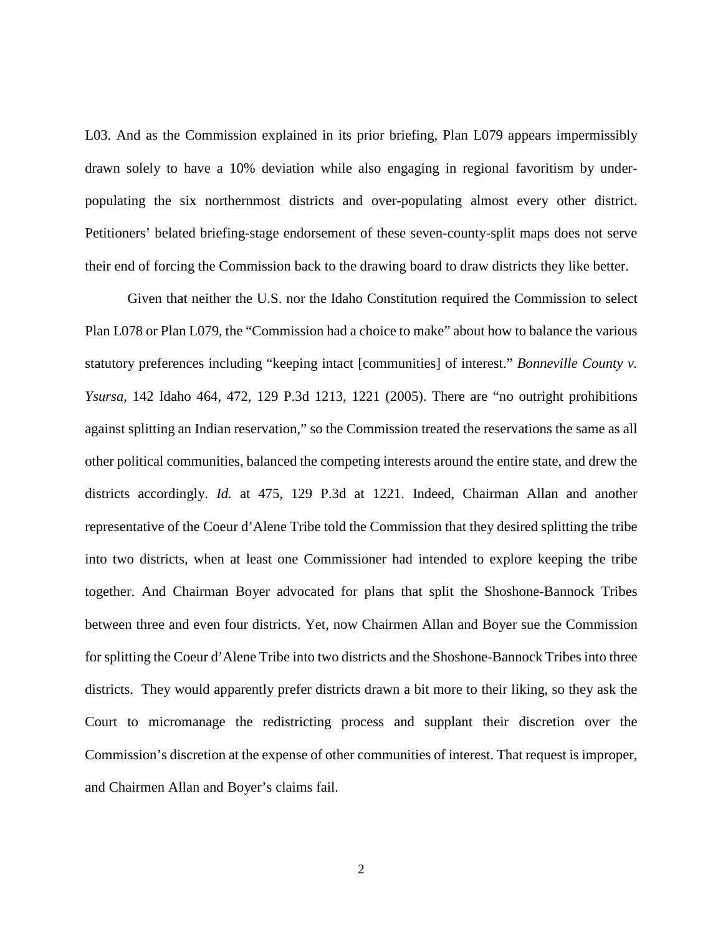L03. And as the Commission explained in its prior briefing, Plan L079 appears impermissibly drawn solely to have a 10% deviation while also engaging in regional favoritism by underpopulating the six northernmost districts and over-populating almost every other district. Petitioners' belated briefing-stage endorsement of these seven-county-split maps does not serve their end of forcing the Commission back to the drawing board to draw districts they like better.

Given that neither the U.S. nor the Idaho Constitution required the Commission to select Plan L078 or Plan L079, the "Commission had a choice to make" about how to balance the various statutory preferences including "keeping intact [communities] of interest." *Bonneville County v. Ysursa*, 142 Idaho 464, 472, 129 P.3d 1213, 1221 (2005). There are "no outright prohibitions against splitting an Indian reservation," so the Commission treated the reservations the same as all other political communities, balanced the competing interests around the entire state, and drew the districts accordingly. *Id.* at 475, 129 P.3d at 1221. Indeed, Chairman Allan and another representative of the Coeur d'Alene Tribe told the Commission that they desired splitting the tribe into two districts, when at least one Commissioner had intended to explore keeping the tribe together. And Chairman Boyer advocated for plans that split the Shoshone-Bannock Tribes between three and even four districts. Yet, now Chairmen Allan and Boyer sue the Commission for splitting the Coeur d'Alene Tribe into two districts and the Shoshone-Bannock Tribes into three districts. They would apparently prefer districts drawn a bit more to their liking, so they ask the Court to micromanage the redistricting process and supplant their discretion over the Commission's discretion at the expense of other communities of interest. That request is improper, and Chairmen Allan and Boyer's claims fail.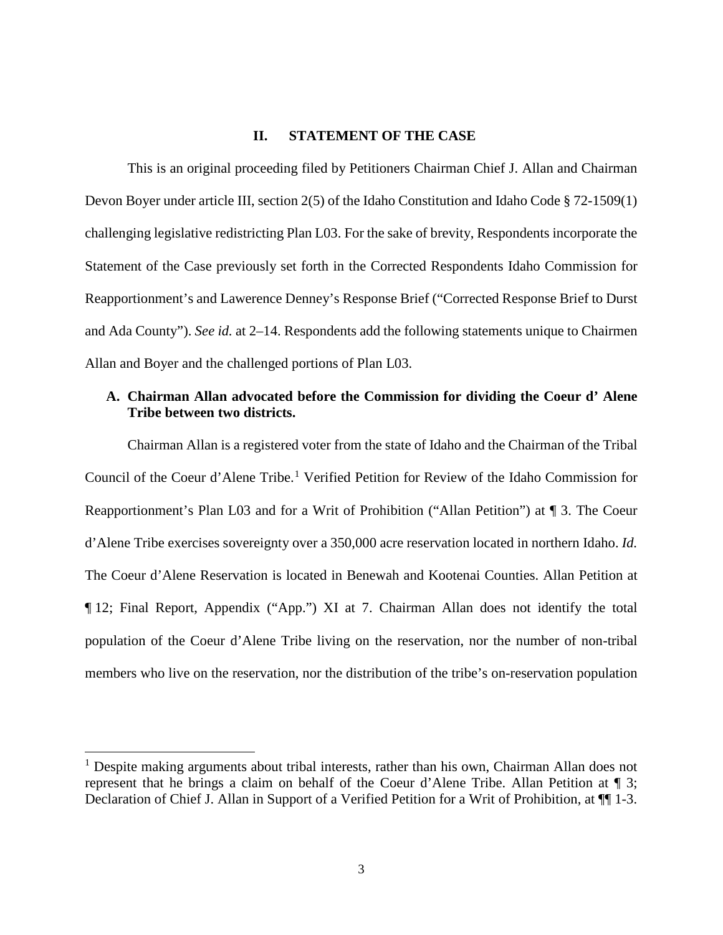### **II. STATEMENT OF THE CASE**

This is an original proceeding filed by Petitioners Chairman Chief J. Allan and Chairman Devon Boyer under article III, section 2(5) of the Idaho Constitution and Idaho Code § 72-1509(1) challenging legislative redistricting Plan L03. For the sake of brevity, Respondents incorporate the Statement of the Case previously set forth in the Corrected Respondents Idaho Commission for Reapportionment's and Lawerence Denney's Response Brief ("Corrected Response Brief to Durst and Ada County"). *See id.* at 2–14. Respondents add the following statements unique to Chairmen Allan and Boyer and the challenged portions of Plan L03.

### **A. Chairman Allan advocated before the Commission for dividing the Coeur d' Alene Tribe between two districts.**

Chairman Allan is a registered voter from the state of Idaho and the Chairman of the Tribal Council of the Coeur d'Alene Tribe.<sup>[1](#page-9-0)</sup> Verified Petition for Review of the Idaho Commission for Reapportionment's Plan L03 and for a Writ of Prohibition ("Allan Petition") at ¶ 3. The Coeur d'Alene Tribe exercises sovereignty over a 350,000 acre reservation located in northern Idaho. *Id.* The Coeur d'Alene Reservation is located in Benewah and Kootenai Counties. Allan Petition at ¶ 12; Final Report, Appendix ("App.") XI at 7. Chairman Allan does not identify the total population of the Coeur d'Alene Tribe living on the reservation, nor the number of non-tribal members who live on the reservation, nor the distribution of the tribe's on-reservation population

l

<span id="page-9-0"></span> $<sup>1</sup>$  Despite making arguments about tribal interests, rather than his own, Chairman Allan does not</sup> represent that he brings a claim on behalf of the Coeur d'Alene Tribe. Allan Petition at ¶ 3; Declaration of Chief J. Allan in Support of a Verified Petition for a Writ of Prohibition, at ¶¶ 1-3.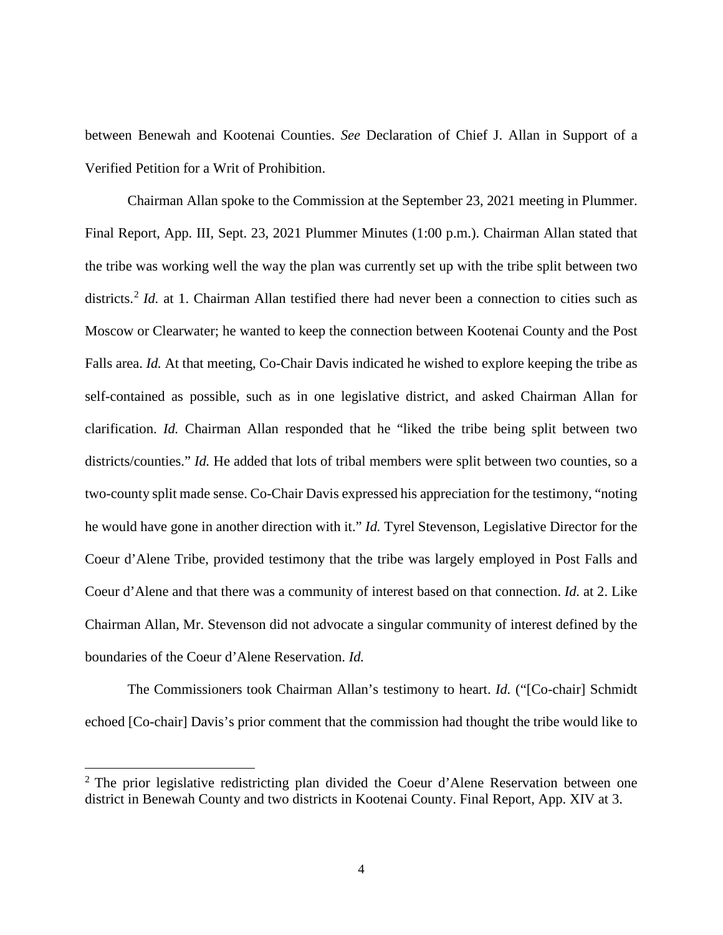between Benewah and Kootenai Counties. *See* Declaration of Chief J. Allan in Support of a Verified Petition for a Writ of Prohibition.

Chairman Allan spoke to the Commission at the September 23, 2021 meeting in Plummer. Final Report, App. III, Sept. 23, 2021 Plummer Minutes (1:00 p.m.). Chairman Allan stated that the tribe was working well the way the plan was currently set up with the tribe split between two districts.<sup>[2](#page-10-0)</sup> *Id.* at 1. Chairman Allan testified there had never been a connection to cities such as Moscow or Clearwater; he wanted to keep the connection between Kootenai County and the Post Falls area. *Id.* At that meeting, Co-Chair Davis indicated he wished to explore keeping the tribe as self-contained as possible, such as in one legislative district, and asked Chairman Allan for clarification. *Id.* Chairman Allan responded that he "liked the tribe being split between two districts/counties." *Id.* He added that lots of tribal members were split between two counties, so a two-county split made sense. Co-Chair Davis expressed his appreciation for the testimony, "noting he would have gone in another direction with it." *Id.* Tyrel Stevenson, Legislative Director for the Coeur d'Alene Tribe, provided testimony that the tribe was largely employed in Post Falls and Coeur d'Alene and that there was a community of interest based on that connection. *Id.* at 2. Like Chairman Allan, Mr. Stevenson did not advocate a singular community of interest defined by the boundaries of the Coeur d'Alene Reservation. *Id.*

The Commissioners took Chairman Allan's testimony to heart. *Id.* ("[Co-chair] Schmidt echoed [Co-chair] Davis's prior comment that the commission had thought the tribe would like to

 $\overline{a}$ 

<span id="page-10-0"></span> $2$  The prior legislative redistricting plan divided the Coeur d'Alene Reservation between one district in Benewah County and two districts in Kootenai County. Final Report, App. XIV at 3.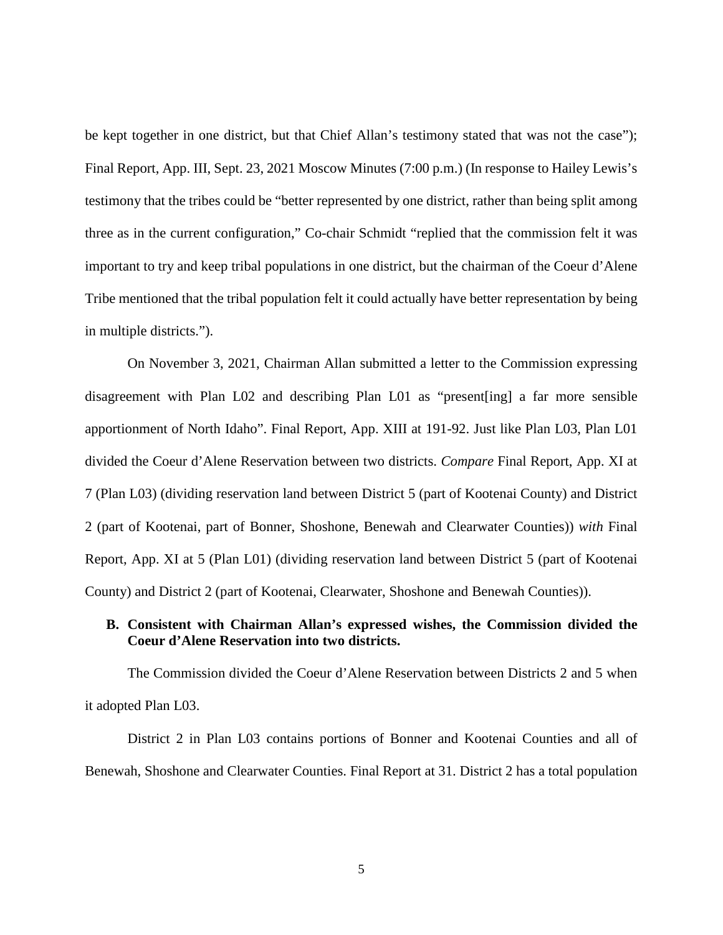be kept together in one district, but that Chief Allan's testimony stated that was not the case"); Final Report, App. III, Sept. 23, 2021 Moscow Minutes (7:00 p.m.) (In response to Hailey Lewis's testimony that the tribes could be "better represented by one district, rather than being split among three as in the current configuration," Co-chair Schmidt "replied that the commission felt it was important to try and keep tribal populations in one district, but the chairman of the Coeur d'Alene Tribe mentioned that the tribal population felt it could actually have better representation by being in multiple districts.").

On November 3, 2021, Chairman Allan submitted a letter to the Commission expressing disagreement with Plan L02 and describing Plan L01 as "present[ing] a far more sensible apportionment of North Idaho". Final Report, App. XIII at 191-92. Just like Plan L03, Plan L01 divided the Coeur d'Alene Reservation between two districts. *Compare* Final Report, App. XI at 7 (Plan L03) (dividing reservation land between District 5 (part of Kootenai County) and District 2 (part of Kootenai, part of Bonner, Shoshone, Benewah and Clearwater Counties)) *with* Final Report, App. XI at 5 (Plan L01) (dividing reservation land between District 5 (part of Kootenai County) and District 2 (part of Kootenai, Clearwater, Shoshone and Benewah Counties)).

### **B. Consistent with Chairman Allan's expressed wishes, the Commission divided the Coeur d'Alene Reservation into two districts.**

The Commission divided the Coeur d'Alene Reservation between Districts 2 and 5 when it adopted Plan L03.

District 2 in Plan L03 contains portions of Bonner and Kootenai Counties and all of Benewah, Shoshone and Clearwater Counties. Final Report at 31. District 2 has a total population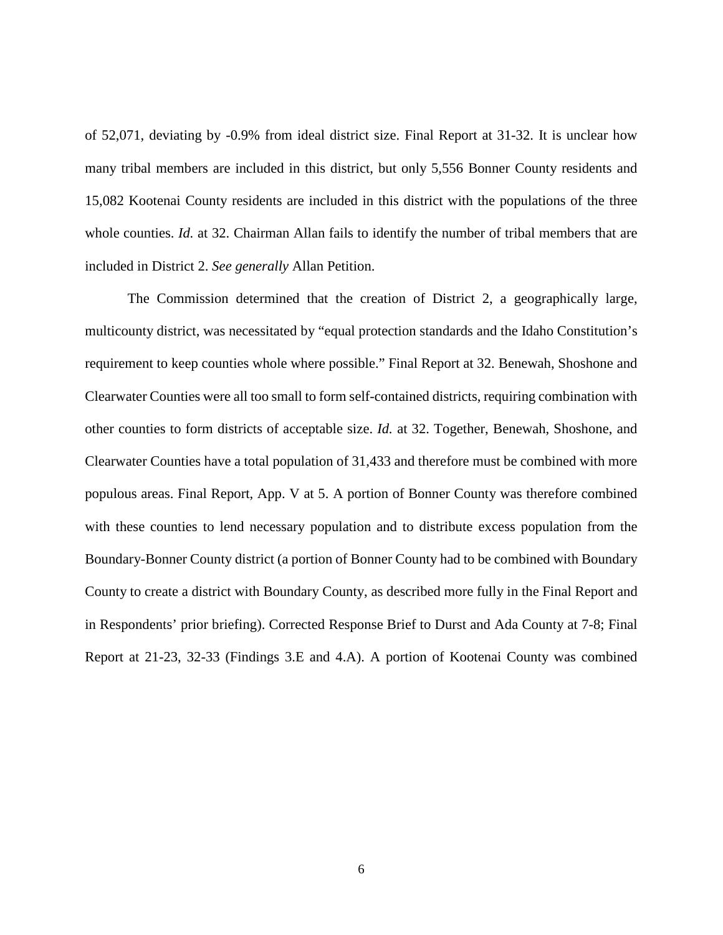of 52,071, deviating by -0.9% from ideal district size. Final Report at 31-32. It is unclear how many tribal members are included in this district, but only 5,556 Bonner County residents and 15,082 Kootenai County residents are included in this district with the populations of the three whole counties. *Id.* at 32. Chairman Allan fails to identify the number of tribal members that are included in District 2. *See generally* Allan Petition.

The Commission determined that the creation of District 2, a geographically large, multicounty district, was necessitated by "equal protection standards and the Idaho Constitution's requirement to keep counties whole where possible." Final Report at 32. Benewah, Shoshone and Clearwater Counties were all too small to form self-contained districts, requiring combination with other counties to form districts of acceptable size. *Id.* at 32. Together, Benewah, Shoshone, and Clearwater Counties have a total population of 31,433 and therefore must be combined with more populous areas. Final Report, App. V at 5. A portion of Bonner County was therefore combined with these counties to lend necessary population and to distribute excess population from the Boundary-Bonner County district (a portion of Bonner County had to be combined with Boundary County to create a district with Boundary County, as described more fully in the Final Report and in Respondents' prior briefing). Corrected Response Brief to Durst and Ada County at 7-8; Final Report at 21-23, 32-33 (Findings 3.E and 4.A). A portion of Kootenai County was combined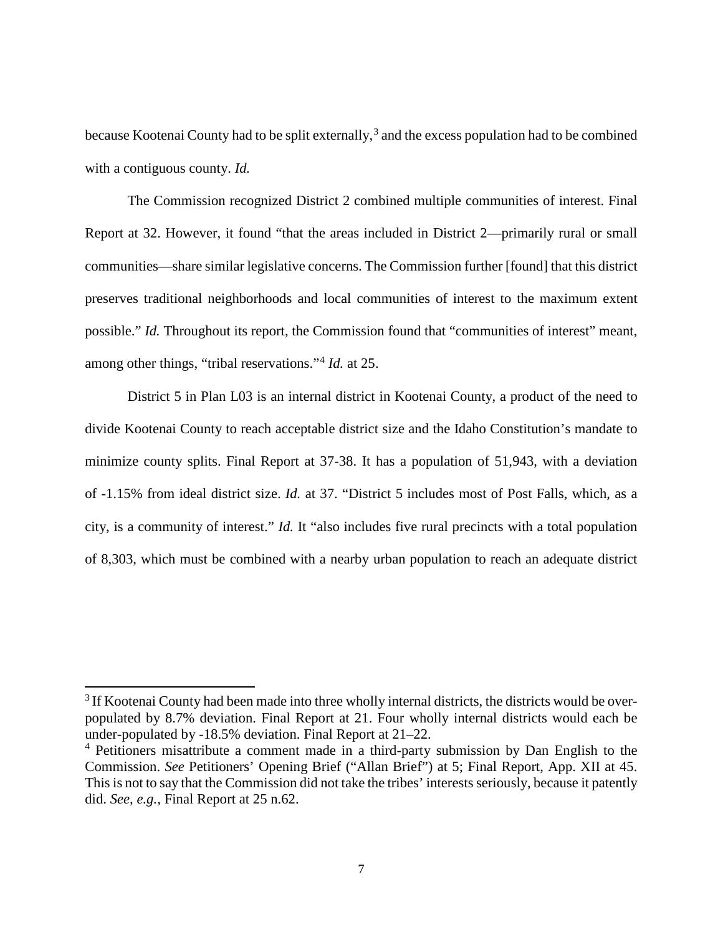because Kootenai County had to be split externally,<sup>[3](#page-13-0)</sup> and the excess population had to be combined with a contiguous county. *Id.*

The Commission recognized District 2 combined multiple communities of interest. Final Report at 32. However, it found "that the areas included in District 2—primarily rural or small communities—share similar legislative concerns. The Commission further [found] that this district preserves traditional neighborhoods and local communities of interest to the maximum extent possible." *Id.* Throughout its report, the Commission found that "communities of interest" meant, among other things, "tribal reservations."[4](#page-13-1) *Id.* at 25.

District 5 in Plan L03 is an internal district in Kootenai County, a product of the need to divide Kootenai County to reach acceptable district size and the Idaho Constitution's mandate to minimize county splits. Final Report at 37-38. It has a population of 51,943, with a deviation of -1.15% from ideal district size. *Id.* at 37. "District 5 includes most of Post Falls, which, as a city, is a community of interest." *Id.* It "also includes five rural precincts with a total population of 8,303, which must be combined with a nearby urban population to reach an adequate district

 $\overline{a}$ 

<span id="page-13-0"></span><sup>&</sup>lt;sup>3</sup> If Kootenai County had been made into three wholly internal districts, the districts would be overpopulated by 8.7% deviation. Final Report at 21. Four wholly internal districts would each be under-populated by -18.5% deviation. Final Report at 21–22.

<span id="page-13-1"></span><sup>&</sup>lt;sup>4</sup> Petitioners misattribute a comment made in a third-party submission by Dan English to the Commission. *See* Petitioners' Opening Brief ("Allan Brief") at 5; Final Report, App. XII at 45. This is not to say that the Commission did not take the tribes' interests seriously, because it patently did. *See, e.g.*, Final Report at 25 n.62.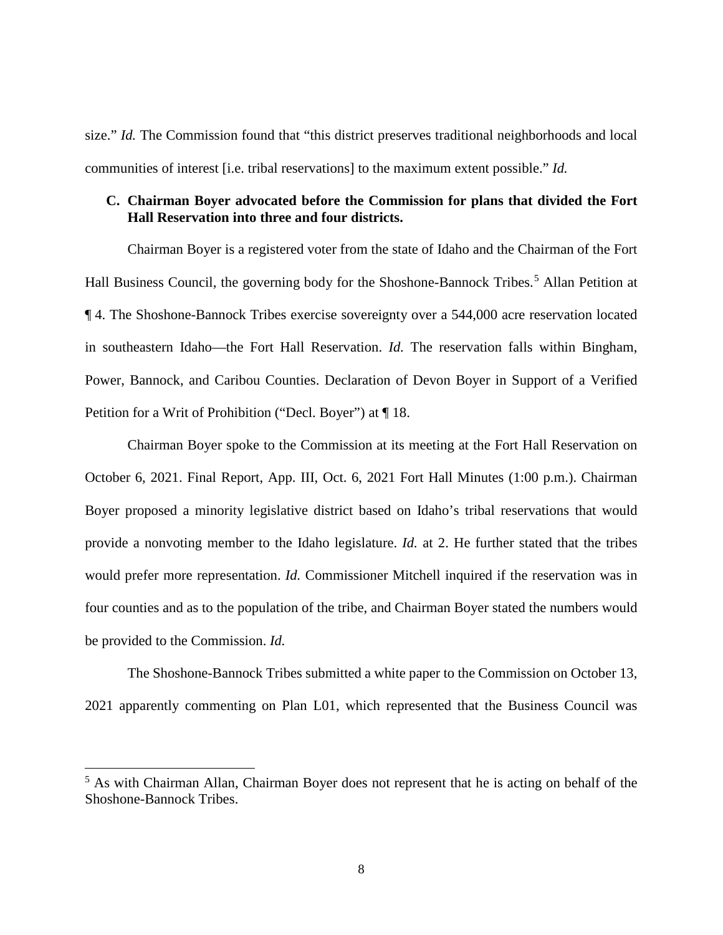size." *Id.* The Commission found that "this district preserves traditional neighborhoods and local communities of interest [i.e. tribal reservations] to the maximum extent possible." *Id.*

### **C. Chairman Boyer advocated before the Commission for plans that divided the Fort Hall Reservation into three and four districts.**

Chairman Boyer is a registered voter from the state of Idaho and the Chairman of the Fort Hall Business Council, the governing body for the Shoshone-Bannock Tribes.<sup>[5](#page-14-0)</sup> Allan Petition at ¶ 4. The Shoshone-Bannock Tribes exercise sovereignty over a 544,000 acre reservation located in southeastern Idaho—the Fort Hall Reservation. *Id.* The reservation falls within Bingham, Power, Bannock, and Caribou Counties. Declaration of Devon Boyer in Support of a Verified Petition for a Writ of Prohibition ("Decl. Boyer") at ¶ 18.

Chairman Boyer spoke to the Commission at its meeting at the Fort Hall Reservation on October 6, 2021. Final Report, App. III, Oct. 6, 2021 Fort Hall Minutes (1:00 p.m.). Chairman Boyer proposed a minority legislative district based on Idaho's tribal reservations that would provide a nonvoting member to the Idaho legislature. *Id.* at 2. He further stated that the tribes would prefer more representation. *Id.* Commissioner Mitchell inquired if the reservation was in four counties and as to the population of the tribe, and Chairman Boyer stated the numbers would be provided to the Commission. *Id.*

The Shoshone-Bannock Tribes submitted a white paper to the Commission on October 13, 2021 apparently commenting on Plan L01, which represented that the Business Council was

 $\overline{a}$ 

<span id="page-14-0"></span><sup>&</sup>lt;sup>5</sup> As with Chairman Allan, Chairman Boyer does not represent that he is acting on behalf of the Shoshone-Bannock Tribes.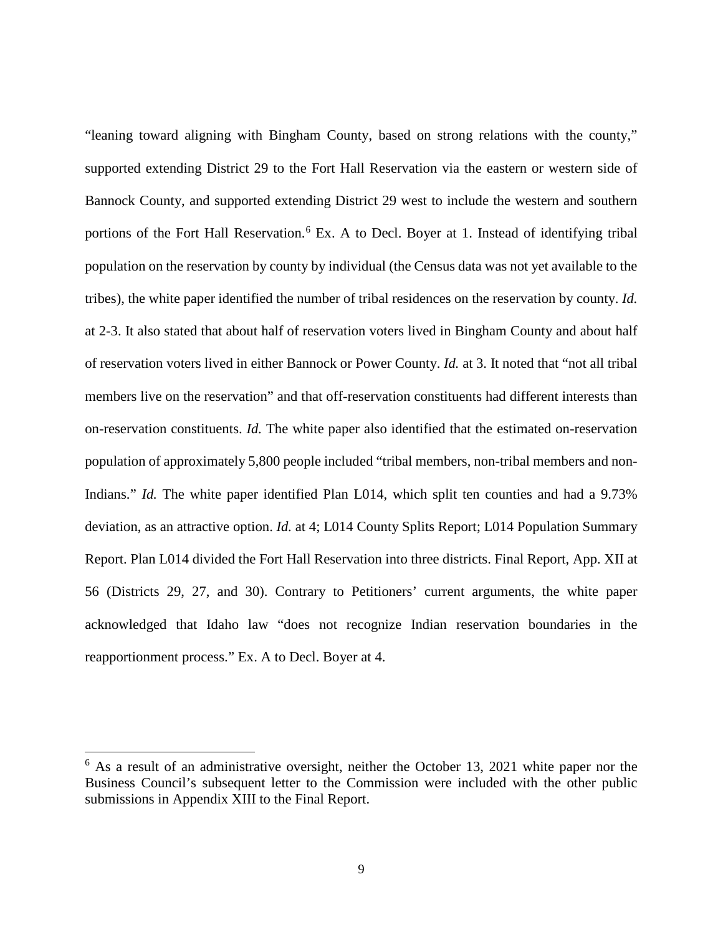"leaning toward aligning with Bingham County, based on strong relations with the county," supported extending District 29 to the Fort Hall Reservation via the eastern or western side of Bannock County, and supported extending District 29 west to include the western and southern portions of the Fort Hall Reservation.<sup>[6](#page-15-0)</sup> Ex. A to Decl. Boyer at 1. Instead of identifying tribal population on the reservation by county by individual (the Census data was not yet available to the tribes), the white paper identified the number of tribal residences on the reservation by county. *Id.* at 2-3. It also stated that about half of reservation voters lived in Bingham County and about half of reservation voters lived in either Bannock or Power County. *Id.* at 3. It noted that "not all tribal members live on the reservation" and that off-reservation constituents had different interests than on-reservation constituents. *Id.* The white paper also identified that the estimated on-reservation population of approximately 5,800 people included "tribal members, non-tribal members and non-Indians." *Id.* The white paper identified Plan L014, which split ten counties and had a 9.73% deviation, as an attractive option. *Id.* at 4; L014 County Splits Report; L014 Population Summary Report. Plan L014 divided the Fort Hall Reservation into three districts. Final Report, App. XII at 56 (Districts 29, 27, and 30). Contrary to Petitioners' current arguments, the white paper acknowledged that Idaho law "does not recognize Indian reservation boundaries in the reapportionment process." Ex. A to Decl. Boyer at 4.

l

<span id="page-15-0"></span> $6$  As a result of an administrative oversight, neither the October 13, 2021 white paper nor the Business Council's subsequent letter to the Commission were included with the other public submissions in Appendix XIII to the Final Report.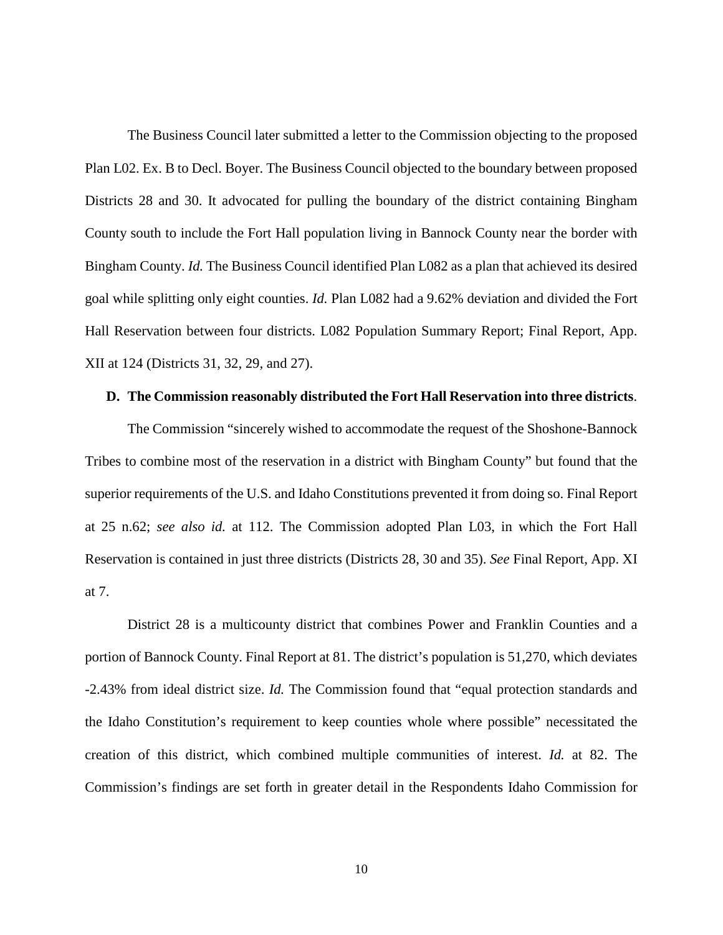The Business Council later submitted a letter to the Commission objecting to the proposed Plan L02. Ex. B to Decl. Boyer. The Business Council objected to the boundary between proposed Districts 28 and 30. It advocated for pulling the boundary of the district containing Bingham County south to include the Fort Hall population living in Bannock County near the border with Bingham County. *Id.* The Business Council identified Plan L082 as a plan that achieved its desired goal while splitting only eight counties. *Id.* Plan L082 had a 9.62% deviation and divided the Fort Hall Reservation between four districts. L082 Population Summary Report; Final Report, App. XII at 124 (Districts 31, 32, 29, and 27).

#### **D. The Commission reasonably distributed the Fort Hall Reservation into three districts**.

The Commission "sincerely wished to accommodate the request of the Shoshone-Bannock Tribes to combine most of the reservation in a district with Bingham County" but found that the superior requirements of the U.S. and Idaho Constitutions prevented it from doing so. Final Report at 25 n.62; *see also id.* at 112. The Commission adopted Plan L03, in which the Fort Hall Reservation is contained in just three districts (Districts 28, 30 and 35). *See* Final Report, App. XI at 7.

District 28 is a multicounty district that combines Power and Franklin Counties and a portion of Bannock County. Final Report at 81. The district's population is 51,270, which deviates -2.43% from ideal district size. *Id.* The Commission found that "equal protection standards and the Idaho Constitution's requirement to keep counties whole where possible" necessitated the creation of this district, which combined multiple communities of interest. *Id.* at 82. The Commission's findings are set forth in greater detail in the Respondents Idaho Commission for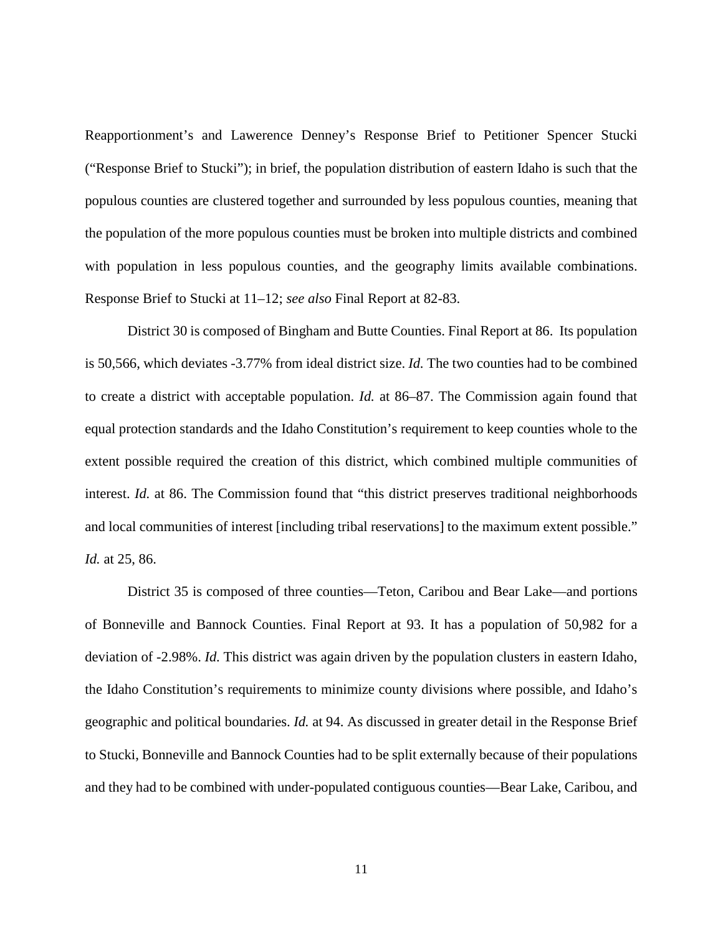Reapportionment's and Lawerence Denney's Response Brief to Petitioner Spencer Stucki ("Response Brief to Stucki"); in brief, the population distribution of eastern Idaho is such that the populous counties are clustered together and surrounded by less populous counties, meaning that the population of the more populous counties must be broken into multiple districts and combined with population in less populous counties, and the geography limits available combinations. Response Brief to Stucki at 11–12; *see also* Final Report at 82-83.

District 30 is composed of Bingham and Butte Counties. Final Report at 86. Its population is 50,566, which deviates -3.77% from ideal district size. *Id.* The two counties had to be combined to create a district with acceptable population. *Id.* at 86–87. The Commission again found that equal protection standards and the Idaho Constitution's requirement to keep counties whole to the extent possible required the creation of this district, which combined multiple communities of interest. *Id.* at 86. The Commission found that "this district preserves traditional neighborhoods" and local communities of interest [including tribal reservations] to the maximum extent possible." *Id.* at 25, 86.

District 35 is composed of three counties—Teton, Caribou and Bear Lake—and portions of Bonneville and Bannock Counties. Final Report at 93. It has a population of 50,982 for a deviation of -2.98%. *Id.* This district was again driven by the population clusters in eastern Idaho, the Idaho Constitution's requirements to minimize county divisions where possible, and Idaho's geographic and political boundaries. *Id.* at 94. As discussed in greater detail in the Response Brief to Stucki, Bonneville and Bannock Counties had to be split externally because of their populations and they had to be combined with under-populated contiguous counties—Bear Lake, Caribou, and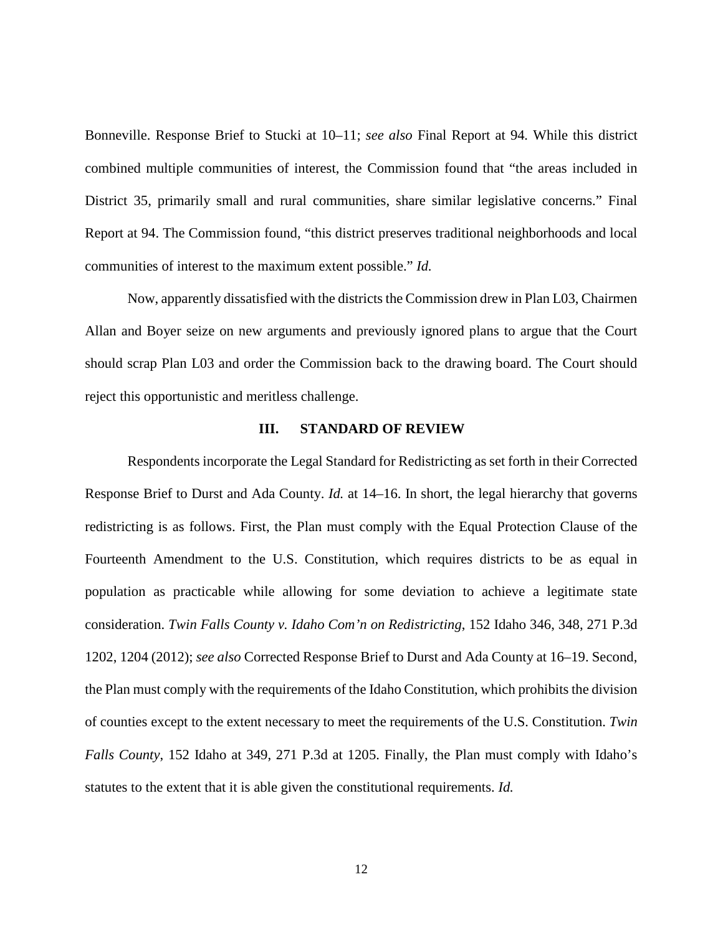Bonneville. Response Brief to Stucki at 10–11; *see also* Final Report at 94*.* While this district combined multiple communities of interest, the Commission found that "the areas included in District 35, primarily small and rural communities, share similar legislative concerns." Final Report at 94. The Commission found, "this district preserves traditional neighborhoods and local communities of interest to the maximum extent possible." *Id.*

Now, apparently dissatisfied with the districts the Commission drew in Plan L03, Chairmen Allan and Boyer seize on new arguments and previously ignored plans to argue that the Court should scrap Plan L03 and order the Commission back to the drawing board. The Court should reject this opportunistic and meritless challenge.

### **III. STANDARD OF REVIEW**

Respondents incorporate the Legal Standard for Redistricting as set forth in their Corrected Response Brief to Durst and Ada County. *Id.* at 14–16. In short, the legal hierarchy that governs redistricting is as follows. First, the Plan must comply with the Equal Protection Clause of the Fourteenth Amendment to the U.S. Constitution, which requires districts to be as equal in population as practicable while allowing for some deviation to achieve a legitimate state consideration. *Twin Falls County v. Idaho Com'n on Redistricting*, 152 Idaho 346, 348, 271 P.3d 1202, 1204 (2012); *see also* Corrected Response Brief to Durst and Ada County at 16–19. Second, the Plan must comply with the requirements of the Idaho Constitution, which prohibits the division of counties except to the extent necessary to meet the requirements of the U.S. Constitution. *Twin Falls County*, 152 Idaho at 349, 271 P.3d at 1205. Finally, the Plan must comply with Idaho's statutes to the extent that it is able given the constitutional requirements. *Id.*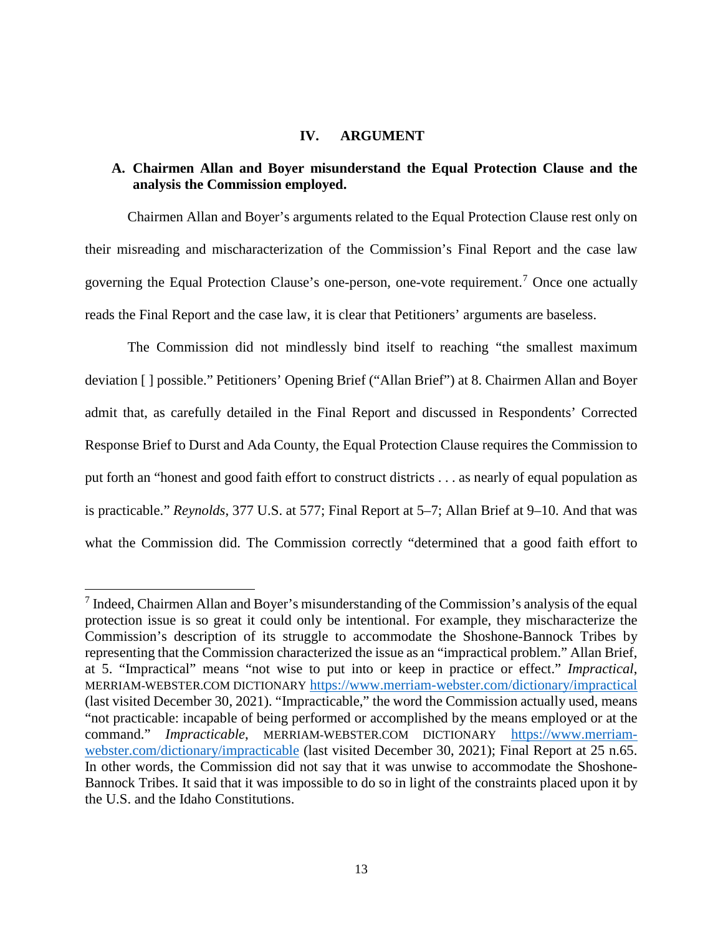### **IV. ARGUMENT**

### **A. Chairmen Allan and Boyer misunderstand the Equal Protection Clause and the analysis the Commission employed.**

Chairmen Allan and Boyer's arguments related to the Equal Protection Clause rest only on their misreading and mischaracterization of the Commission's Final Report and the case law governing the Equal Protection Clause's one-person, one-vote requirement. [7](#page-19-0) Once one actually reads the Final Report and the case law, it is clear that Petitioners' arguments are baseless.

The Commission did not mindlessly bind itself to reaching "the smallest maximum deviation [ ] possible." Petitioners' Opening Brief ("Allan Brief") at 8. Chairmen Allan and Boyer admit that, as carefully detailed in the Final Report and discussed in Respondents' Corrected Response Brief to Durst and Ada County, the Equal Protection Clause requires the Commission to put forth an "honest and good faith effort to construct districts . . . as nearly of equal population as is practicable." *Reynolds*, 377 U.S. at 577; Final Report at 5–7; Allan Brief at 9–10. And that was what the Commission did. The Commission correctly "determined that a good faith effort to

l

<span id="page-19-0"></span><sup>&</sup>lt;sup>7</sup> Indeed, Chairmen Allan and Boyer's misunderstanding of the Commission's analysis of the equal protection issue is so great it could only be intentional. For example, they mischaracterize the Commission's description of its struggle to accommodate the Shoshone-Bannock Tribes by representing that the Commission characterized the issue as an "impractical problem." Allan Brief, at 5. "Impractical" means "not wise to put into or keep in practice or effect." *Impractical*, MERRIAM-WEBSTER.COM DICTIONARY <https://www.merriam-webster.com/dictionary/impractical> (last visited December 30, 2021). "Impracticable," the word the Commission actually used, means "not practicable: incapable of being performed or accomplished by the means employed or at the command." *Impracticable*, MERRIAM-WEBSTER.COM DICTIONARY [https://www.merriam](https://www.merriam-webster.com/dictionary/impracticable)[webster.com/dictionary/impracticable](https://www.merriam-webster.com/dictionary/impracticable) (last visited December 30, 2021); Final Report at 25 n.65. In other words, the Commission did not say that it was unwise to accommodate the Shoshone-Bannock Tribes. It said that it was impossible to do so in light of the constraints placed upon it by the U.S. and the Idaho Constitutions.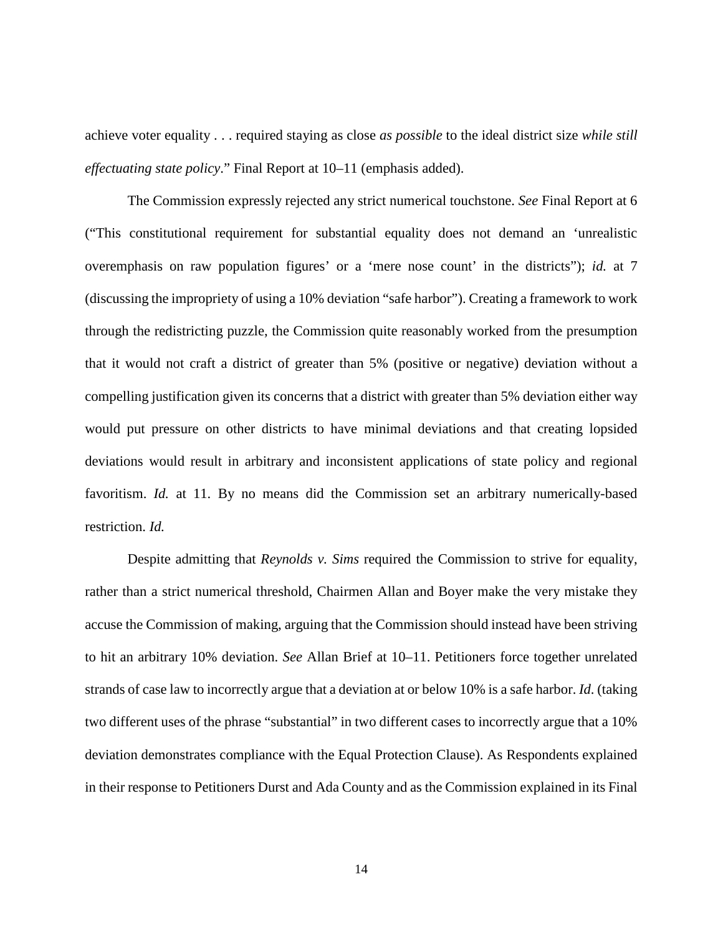achieve voter equality . . . required staying as close *as possible* to the ideal district size *while still effectuating state policy*." Final Report at 10–11 (emphasis added).

The Commission expressly rejected any strict numerical touchstone. *See* Final Report at 6 ("This constitutional requirement for substantial equality does not demand an 'unrealistic overemphasis on raw population figures' or a 'mere nose count' in the districts"); *id.* at 7 (discussing the impropriety of using a 10% deviation "safe harbor"). Creating a framework to work through the redistricting puzzle, the Commission quite reasonably worked from the presumption that it would not craft a district of greater than 5% (positive or negative) deviation without a compelling justification given its concerns that a district with greater than 5% deviation either way would put pressure on other districts to have minimal deviations and that creating lopsided deviations would result in arbitrary and inconsistent applications of state policy and regional favoritism. *Id.* at 11. By no means did the Commission set an arbitrary numerically-based restriction. *Id.* 

Despite admitting that *Reynolds v. Sims* required the Commission to strive for equality, rather than a strict numerical threshold, Chairmen Allan and Boyer make the very mistake they accuse the Commission of making, arguing that the Commission should instead have been striving to hit an arbitrary 10% deviation. *See* Allan Brief at 10–11. Petitioners force together unrelated strands of case law to incorrectly argue that a deviation at or below 10% is a safe harbor. *Id*. (taking two different uses of the phrase "substantial" in two different cases to incorrectly argue that a 10% deviation demonstrates compliance with the Equal Protection Clause). As Respondents explained in their response to Petitioners Durst and Ada County and as the Commission explained in its Final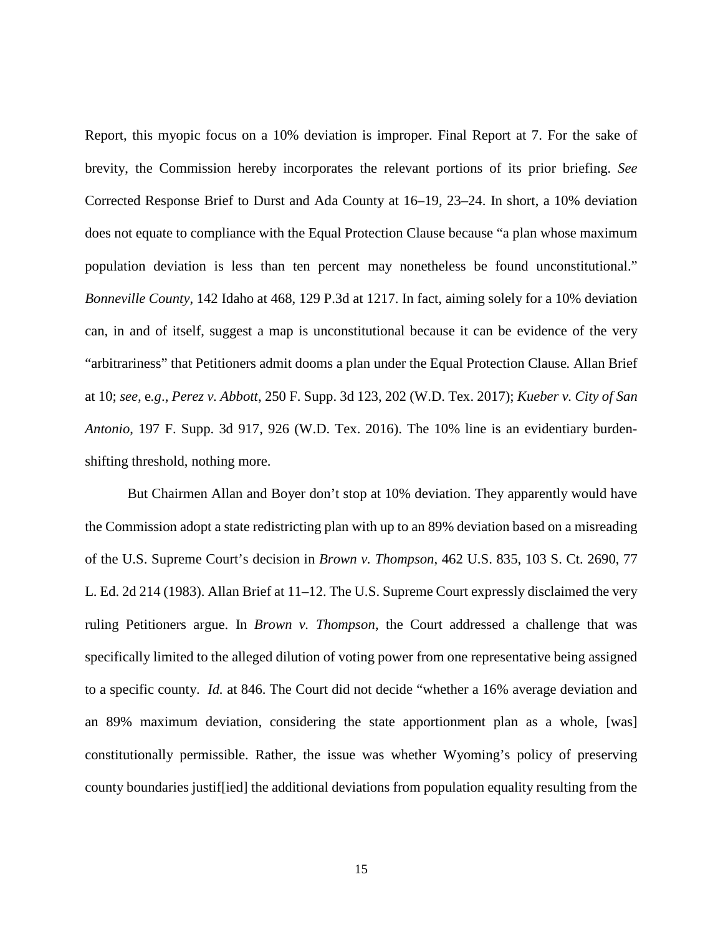Report, this myopic focus on a 10% deviation is improper. Final Report at 7. For the sake of brevity, the Commission hereby incorporates the relevant portions of its prior briefing. *See* Corrected Response Brief to Durst and Ada County at 16–19, 23–24. In short, a 10% deviation does not equate to compliance with the Equal Protection Clause because "a plan whose maximum population deviation is less than ten percent may nonetheless be found unconstitutional." *Bonneville County*, 142 Idaho at 468, 129 P.3d at 1217. In fact, aiming solely for a 10% deviation can, in and of itself, suggest a map is unconstitutional because it can be evidence of the very "arbitrariness" that Petitioners admit dooms a plan under the Equal Protection Clause*.* Allan Brief at 10; *see,* e*.g*., *Perez v. Abbott*, 250 F. Supp. 3d 123, 202 (W.D. Tex. 2017); *Kueber v. City of San Antonio*, 197 F. Supp. 3d 917, 926 (W.D. Tex. 2016). The 10% line is an evidentiary burdenshifting threshold, nothing more.

But Chairmen Allan and Boyer don't stop at 10% deviation. They apparently would have the Commission adopt a state redistricting plan with up to an 89% deviation based on a misreading of the U.S. Supreme Court's decision in *Brown v. Thompson*, 462 U.S. 835, 103 S. Ct. 2690, 77 L. Ed. 2d 214 (1983). Allan Brief at 11–12. The U.S. Supreme Court expressly disclaimed the very ruling Petitioners argue. In *Brown v. Thompson*, the Court addressed a challenge that was specifically limited to the alleged dilution of voting power from one representative being assigned to a specific county. *Id.* at 846. The Court did not decide "whether a 16% average deviation and an 89% maximum deviation, considering the state apportionment plan as a whole, [was] constitutionally permissible. Rather, the issue was whether Wyoming's policy of preserving county boundaries justif[ied] the additional deviations from population equality resulting from the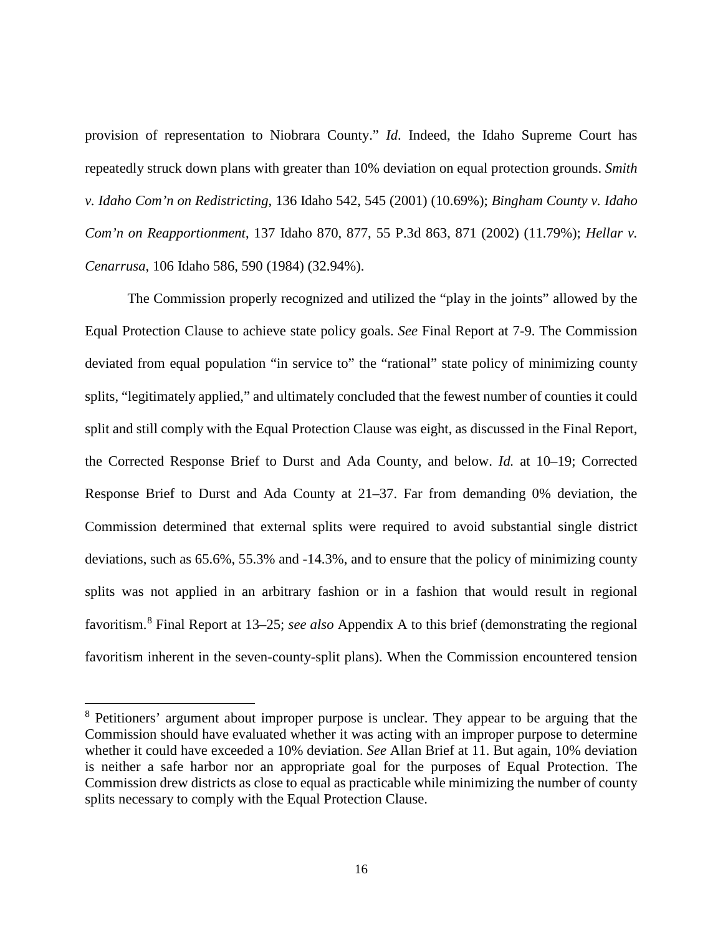provision of representation to Niobrara County." *Id*. Indeed, the Idaho Supreme Court has repeatedly struck down plans with greater than 10% deviation on equal protection grounds. *Smith v. Idaho Com'n on Redistricting*, 136 Idaho 542, 545 (2001) (10.69%); *Bingham County v. Idaho Com'n on Reapportionment*, 137 Idaho 870, 877, 55 P.3d 863, 871 (2002) (11.79%); *Hellar v. Cenarrusa*, 106 Idaho 586, 590 (1984) (32.94%).

The Commission properly recognized and utilized the "play in the joints" allowed by the Equal Protection Clause to achieve state policy goals. *See* Final Report at 7-9. The Commission deviated from equal population "in service to" the "rational" state policy of minimizing county splits, "legitimately applied," and ultimately concluded that the fewest number of counties it could split and still comply with the Equal Protection Clause was eight, as discussed in the Final Report, the Corrected Response Brief to Durst and Ada County, and below. *Id.* at 10–19; Corrected Response Brief to Durst and Ada County at 21–37. Far from demanding 0% deviation, the Commission determined that external splits were required to avoid substantial single district deviations, such as 65.6%, 55.3% and -14.3%, and to ensure that the policy of minimizing county splits was not applied in an arbitrary fashion or in a fashion that would result in regional favoritism. [8](#page-22-0) Final Report at 13–25; *see also* Appendix A to this brief (demonstrating the regional favoritism inherent in the seven-county-split plans). When the Commission encountered tension

 $\overline{\phantom{a}}$ 

<span id="page-22-0"></span><sup>&</sup>lt;sup>8</sup> Petitioners' argument about improper purpose is unclear. They appear to be arguing that the Commission should have evaluated whether it was acting with an improper purpose to determine whether it could have exceeded a 10% deviation. *See* Allan Brief at 11. But again, 10% deviation is neither a safe harbor nor an appropriate goal for the purposes of Equal Protection. The Commission drew districts as close to equal as practicable while minimizing the number of county splits necessary to comply with the Equal Protection Clause.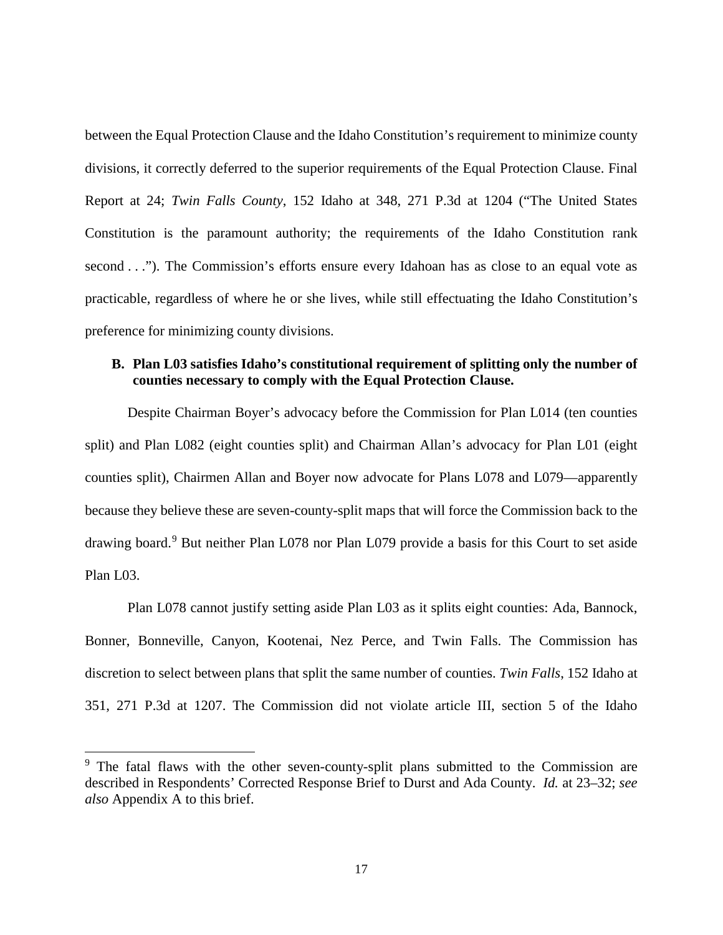between the Equal Protection Clause and the Idaho Constitution's requirement to minimize county divisions, it correctly deferred to the superior requirements of the Equal Protection Clause. Final Report at 24; *Twin Falls County*, 152 Idaho at 348, 271 P.3d at 1204 ("The United States Constitution is the paramount authority; the requirements of the Idaho Constitution rank second . . ."). The Commission's efforts ensure every Idahoan has as close to an equal vote as practicable, regardless of where he or she lives, while still effectuating the Idaho Constitution's preference for minimizing county divisions.

### **B. Plan L03 satisfies Idaho's constitutional requirement of splitting only the number of counties necessary to comply with the Equal Protection Clause.**

Despite Chairman Boyer's advocacy before the Commission for Plan L014 (ten counties split) and Plan L082 (eight counties split) and Chairman Allan's advocacy for Plan L01 (eight counties split), Chairmen Allan and Boyer now advocate for Plans L078 and L079—apparently because they believe these are seven-county-split maps that will force the Commission back to the drawing board.<sup>[9](#page-23-0)</sup> But neither Plan L078 nor Plan L079 provide a basis for this Court to set aside Plan L03.

Plan L078 cannot justify setting aside Plan L03 as it splits eight counties: Ada, Bannock, Bonner, Bonneville, Canyon, Kootenai, Nez Perce, and Twin Falls. The Commission has discretion to select between plans that split the same number of counties. *Twin Falls*, 152 Idaho at 351, 271 P.3d at 1207. The Commission did not violate article III, section 5 of the Idaho

l

<span id="page-23-0"></span><sup>&</sup>lt;sup>9</sup> The fatal flaws with the other seven-county-split plans submitted to the Commission are described in Respondents' Corrected Response Brief to Durst and Ada County. *Id.* at 23–32; *see also* Appendix A to this brief.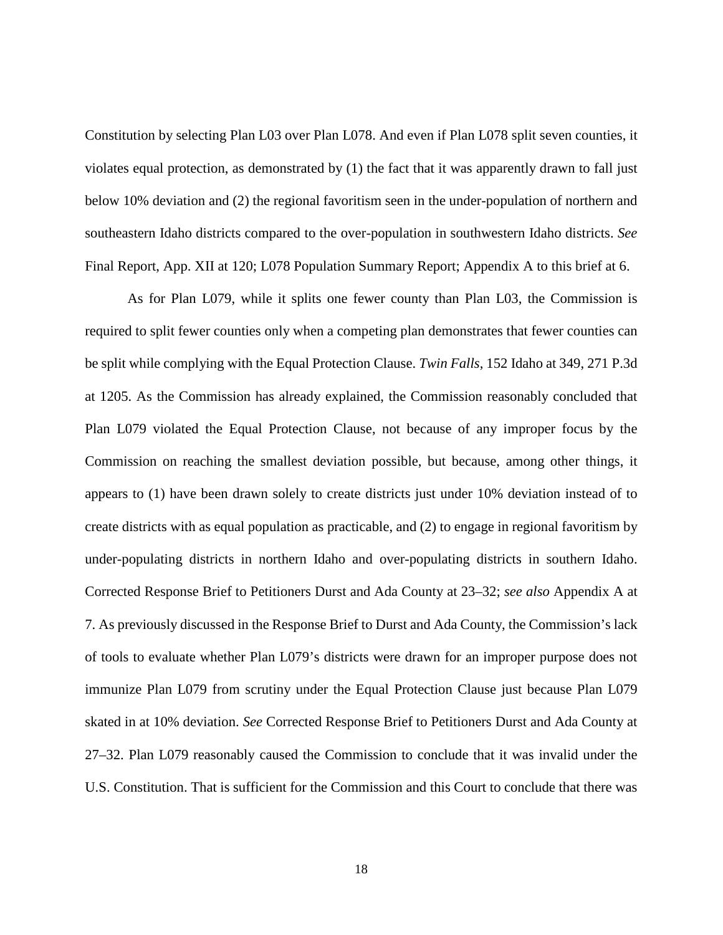Constitution by selecting Plan L03 over Plan L078. And even if Plan L078 split seven counties, it violates equal protection, as demonstrated by (1) the fact that it was apparently drawn to fall just below 10% deviation and (2) the regional favoritism seen in the under-population of northern and southeastern Idaho districts compared to the over-population in southwestern Idaho districts. *See* Final Report, App. XII at 120; L078 Population Summary Report; Appendix A to this brief at 6.

As for Plan L079, while it splits one fewer county than Plan L03, the Commission is required to split fewer counties only when a competing plan demonstrates that fewer counties can be split while complying with the Equal Protection Clause. *Twin Falls*, 152 Idaho at 349, 271 P.3d at 1205. As the Commission has already explained, the Commission reasonably concluded that Plan L079 violated the Equal Protection Clause, not because of any improper focus by the Commission on reaching the smallest deviation possible, but because, among other things, it appears to (1) have been drawn solely to create districts just under 10% deviation instead of to create districts with as equal population as practicable, and (2) to engage in regional favoritism by under-populating districts in northern Idaho and over-populating districts in southern Idaho. Corrected Response Brief to Petitioners Durst and Ada County at 23–32; *see also* Appendix A at 7. As previously discussed in the Response Brief to Durst and Ada County, the Commission's lack of tools to evaluate whether Plan L079's districts were drawn for an improper purpose does not immunize Plan L079 from scrutiny under the Equal Protection Clause just because Plan L079 skated in at 10% deviation. *See* Corrected Response Brief to Petitioners Durst and Ada County at 27–32. Plan L079 reasonably caused the Commission to conclude that it was invalid under the U.S. Constitution. That is sufficient for the Commission and this Court to conclude that there was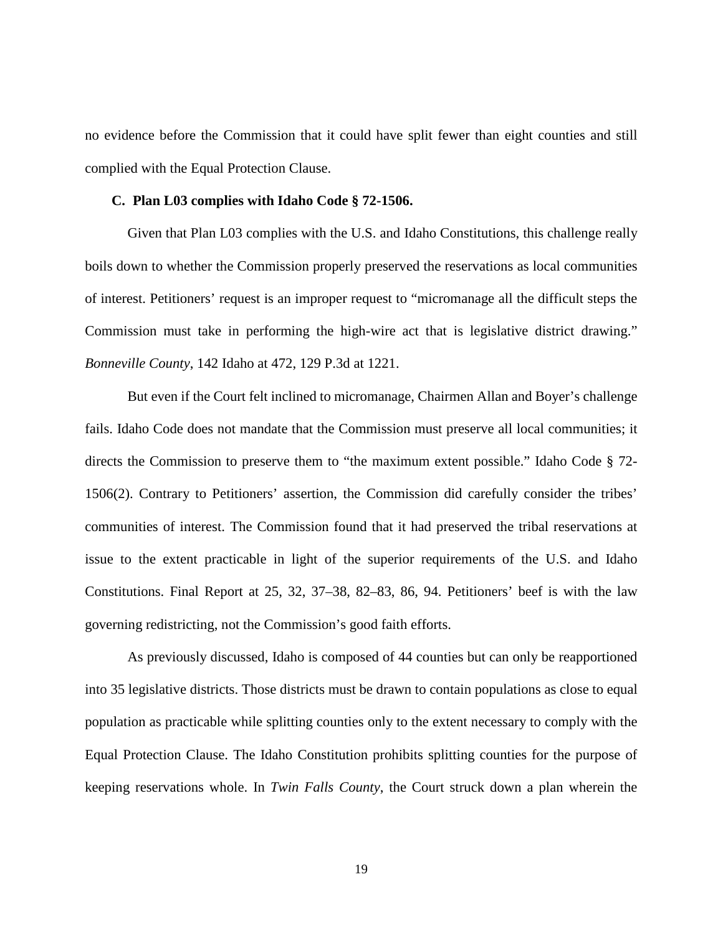no evidence before the Commission that it could have split fewer than eight counties and still complied with the Equal Protection Clause.

#### **C. Plan L03 complies with Idaho Code § 72-1506.**

Given that Plan L03 complies with the U.S. and Idaho Constitutions, this challenge really boils down to whether the Commission properly preserved the reservations as local communities of interest. Petitioners' request is an improper request to "micromanage all the difficult steps the Commission must take in performing the high-wire act that is legislative district drawing." *Bonneville County*, 142 Idaho at 472, 129 P.3d at 1221.

But even if the Court felt inclined to micromanage, Chairmen Allan and Boyer's challenge fails. Idaho Code does not mandate that the Commission must preserve all local communities; it directs the Commission to preserve them to "the maximum extent possible." Idaho Code § 72- 1506(2). Contrary to Petitioners' assertion, the Commission did carefully consider the tribes' communities of interest. The Commission found that it had preserved the tribal reservations at issue to the extent practicable in light of the superior requirements of the U.S. and Idaho Constitutions. Final Report at 25, 32, 37–38, 82–83, 86, 94. Petitioners' beef is with the law governing redistricting, not the Commission's good faith efforts.

As previously discussed, Idaho is composed of 44 counties but can only be reapportioned into 35 legislative districts. Those districts must be drawn to contain populations as close to equal population as practicable while splitting counties only to the extent necessary to comply with the Equal Protection Clause. The Idaho Constitution prohibits splitting counties for the purpose of keeping reservations whole. In *Twin Falls County*, the Court struck down a plan wherein the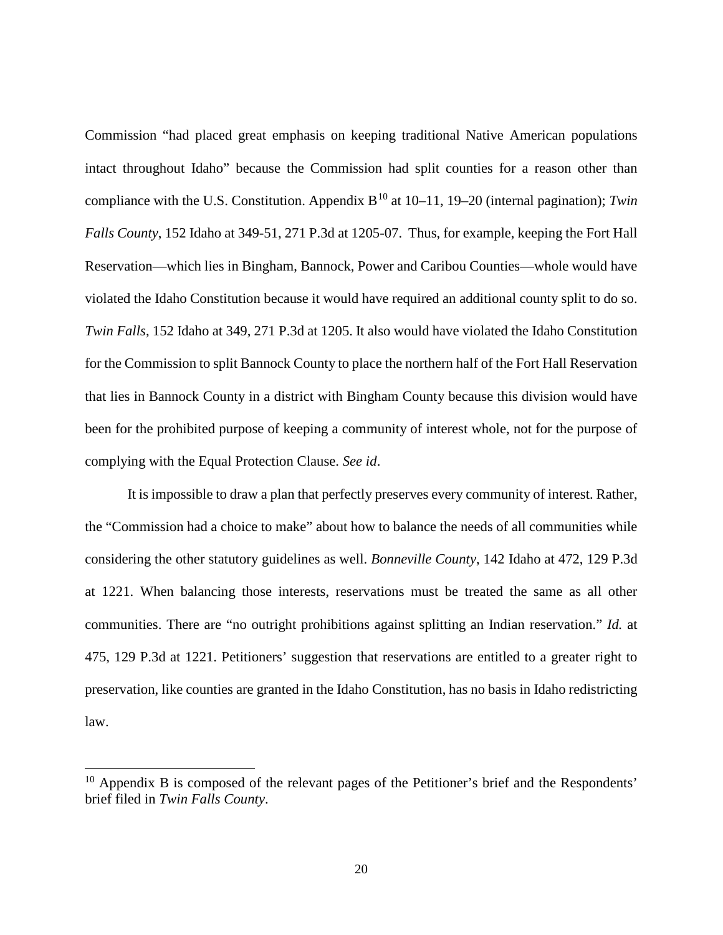Commission "had placed great emphasis on keeping traditional Native American populations intact throughout Idaho" because the Commission had split counties for a reason other than compliance with the U.S. Constitution. Appendix  $B^{10}$  $B^{10}$  $B^{10}$  at 10–11, 19–20 (internal pagination); *Twin Falls County*, 152 Idaho at 349-51, 271 P.3d at 1205-07. Thus, for example, keeping the Fort Hall Reservation—which lies in Bingham, Bannock, Power and Caribou Counties—whole would have violated the Idaho Constitution because it would have required an additional county split to do so. *Twin Falls*, 152 Idaho at 349, 271 P.3d at 1205. It also would have violated the Idaho Constitution for the Commission to split Bannock County to place the northern half of the Fort Hall Reservation that lies in Bannock County in a district with Bingham County because this division would have been for the prohibited purpose of keeping a community of interest whole, not for the purpose of complying with the Equal Protection Clause. *See id*.

It is impossible to draw a plan that perfectly preserves every community of interest. Rather, the "Commission had a choice to make" about how to balance the needs of all communities while considering the other statutory guidelines as well. *Bonneville County*, 142 Idaho at 472, 129 P.3d at 1221. When balancing those interests, reservations must be treated the same as all other communities. There are "no outright prohibitions against splitting an Indian reservation." *Id.* at 475, 129 P.3d at 1221. Petitioners' suggestion that reservations are entitled to a greater right to preservation, like counties are granted in the Idaho Constitution, has no basis in Idaho redistricting law.

 $\overline{a}$ 

<span id="page-26-0"></span> $10$  Appendix B is composed of the relevant pages of the Petitioner's brief and the Respondents' brief filed in *Twin Falls County*.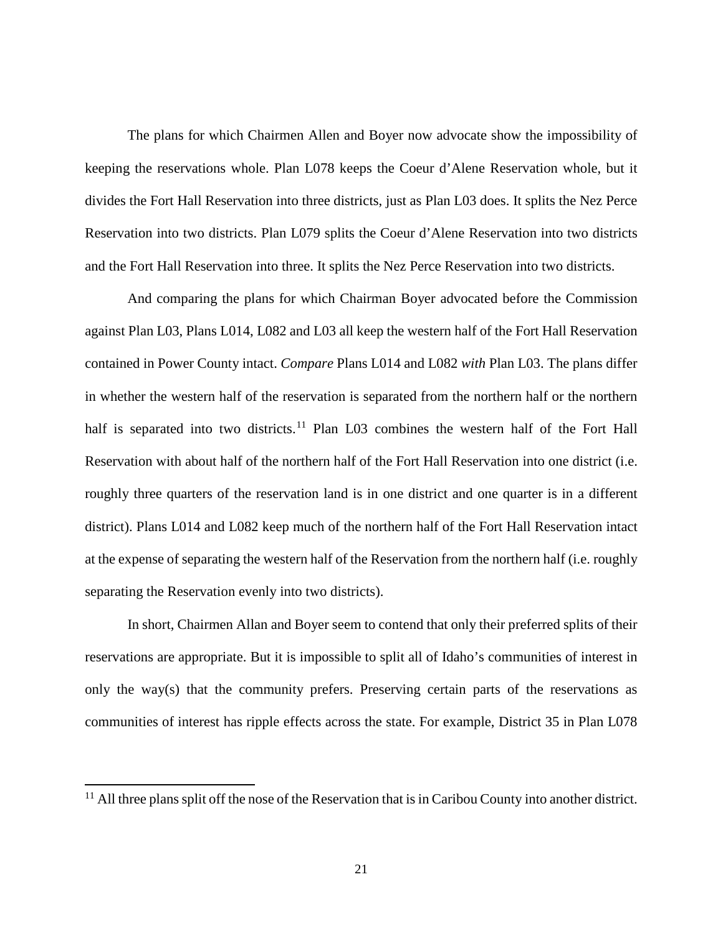The plans for which Chairmen Allen and Boyer now advocate show the impossibility of keeping the reservations whole. Plan L078 keeps the Coeur d'Alene Reservation whole, but it divides the Fort Hall Reservation into three districts, just as Plan L03 does. It splits the Nez Perce Reservation into two districts. Plan L079 splits the Coeur d'Alene Reservation into two districts and the Fort Hall Reservation into three. It splits the Nez Perce Reservation into two districts.

And comparing the plans for which Chairman Boyer advocated before the Commission against Plan L03, Plans L014, L082 and L03 all keep the western half of the Fort Hall Reservation contained in Power County intact. *Compare* Plans L014 and L082 *with* Plan L03. The plans differ in whether the western half of the reservation is separated from the northern half or the northern half is separated into two districts.<sup>[11](#page-27-0)</sup> Plan L03 combines the western half of the Fort Hall Reservation with about half of the northern half of the Fort Hall Reservation into one district (i.e. roughly three quarters of the reservation land is in one district and one quarter is in a different district). Plans L014 and L082 keep much of the northern half of the Fort Hall Reservation intact at the expense of separating the western half of the Reservation from the northern half (i.e. roughly separating the Reservation evenly into two districts).

In short, Chairmen Allan and Boyer seem to contend that only their preferred splits of their reservations are appropriate. But it is impossible to split all of Idaho's communities of interest in only the way(s) that the community prefers. Preserving certain parts of the reservations as communities of interest has ripple effects across the state. For example, District 35 in Plan L078

 $\overline{\phantom{a}}$ 

<span id="page-27-0"></span> $11$  All three plans split off the nose of the Reservation that is in Caribou County into another district.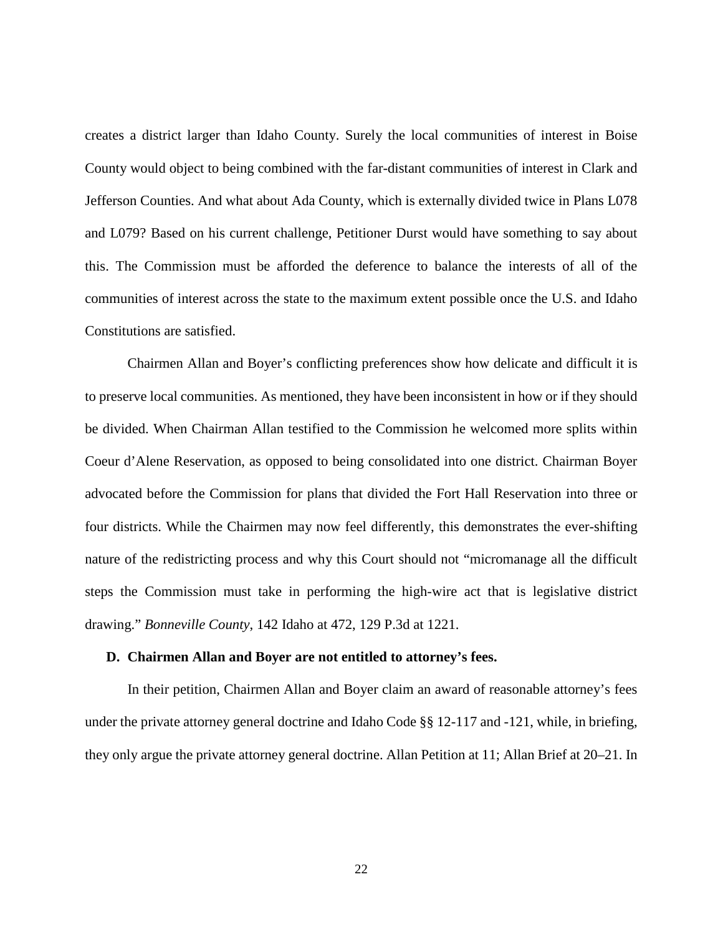creates a district larger than Idaho County. Surely the local communities of interest in Boise County would object to being combined with the far-distant communities of interest in Clark and Jefferson Counties. And what about Ada County, which is externally divided twice in Plans L078 and L079? Based on his current challenge, Petitioner Durst would have something to say about this. The Commission must be afforded the deference to balance the interests of all of the communities of interest across the state to the maximum extent possible once the U.S. and Idaho Constitutions are satisfied.

Chairmen Allan and Boyer's conflicting preferences show how delicate and difficult it is to preserve local communities. As mentioned, they have been inconsistent in how or if they should be divided. When Chairman Allan testified to the Commission he welcomed more splits within Coeur d'Alene Reservation, as opposed to being consolidated into one district. Chairman Boyer advocated before the Commission for plans that divided the Fort Hall Reservation into three or four districts. While the Chairmen may now feel differently, this demonstrates the ever-shifting nature of the redistricting process and why this Court should not "micromanage all the difficult steps the Commission must take in performing the high-wire act that is legislative district drawing." *Bonneville County*, 142 Idaho at 472, 129 P.3d at 1221.

#### **D. Chairmen Allan and Boyer are not entitled to attorney's fees.**

In their petition, Chairmen Allan and Boyer claim an award of reasonable attorney's fees under the private attorney general doctrine and Idaho Code §§ 12-117 and -121, while, in briefing, they only argue the private attorney general doctrine. Allan Petition at 11; Allan Brief at 20–21. In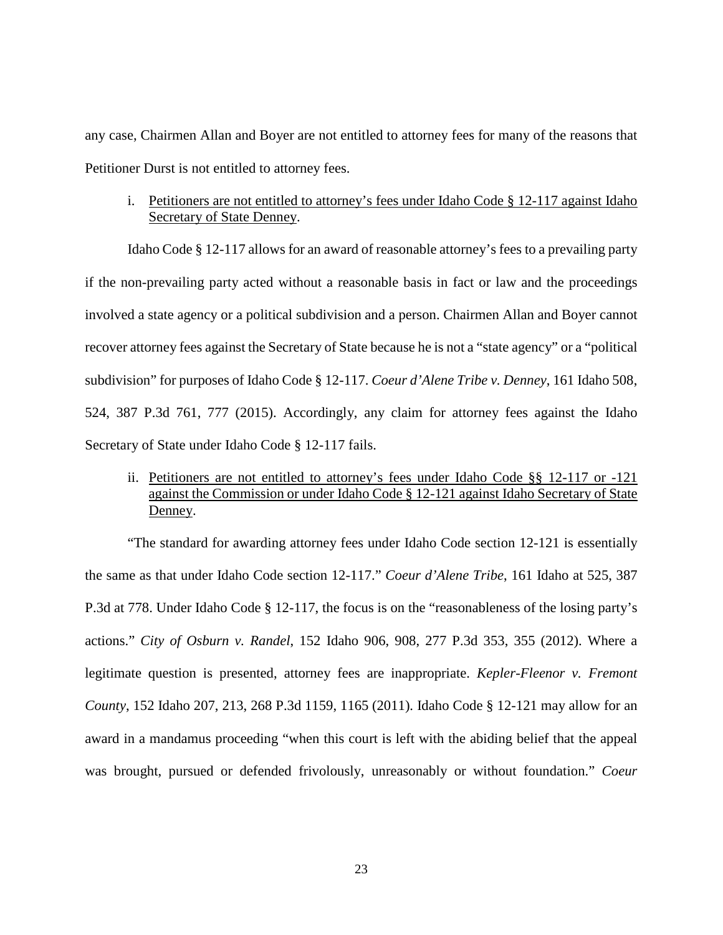any case, Chairmen Allan and Boyer are not entitled to attorney fees for many of the reasons that Petitioner Durst is not entitled to attorney fees.

i. Petitioners are not entitled to attorney's fees under Idaho Code § 12-117 against Idaho Secretary of State Denney.

Idaho Code § 12-117 allows for an award of reasonable attorney's fees to a prevailing party if the non-prevailing party acted without a reasonable basis in fact or law and the proceedings involved a state agency or a political subdivision and a person. Chairmen Allan and Boyer cannot recover attorney fees against the Secretary of State because he is not a "state agency" or a "political subdivision" for purposes of Idaho Code § 12-117. *Coeur d'Alene Tribe v. Denney*, 161 Idaho 508, 524, 387 P.3d 761, 777 (2015). Accordingly, any claim for attorney fees against the Idaho Secretary of State under Idaho Code § 12-117 fails.

ii. Petitioners are not entitled to attorney's fees under Idaho Code §§ 12-117 or -121 against the Commission or under Idaho Code § 12-121 against Idaho Secretary of State Denney.

"The standard for awarding attorney fees under Idaho Code section 12-121 is essentially the same as that under Idaho Code section 12-117." *Coeur d'Alene Tribe*, 161 Idaho at 525, 387 P.3d at 778. Under Idaho Code § 12-117, the focus is on the "reasonableness of the losing party's actions." *City of Osburn v. Randel*, 152 Idaho 906, 908, 277 P.3d 353, 355 (2012). Where a legitimate question is presented, attorney fees are inappropriate. *Kepler-Fleenor v. Fremont County*, 152 Idaho 207, 213, 268 P.3d 1159, 1165 (2011). Idaho Code § 12-121 may allow for an award in a mandamus proceeding "when this court is left with the abiding belief that the appeal was brought, pursued or defended frivolously, unreasonably or without foundation." *Coeur*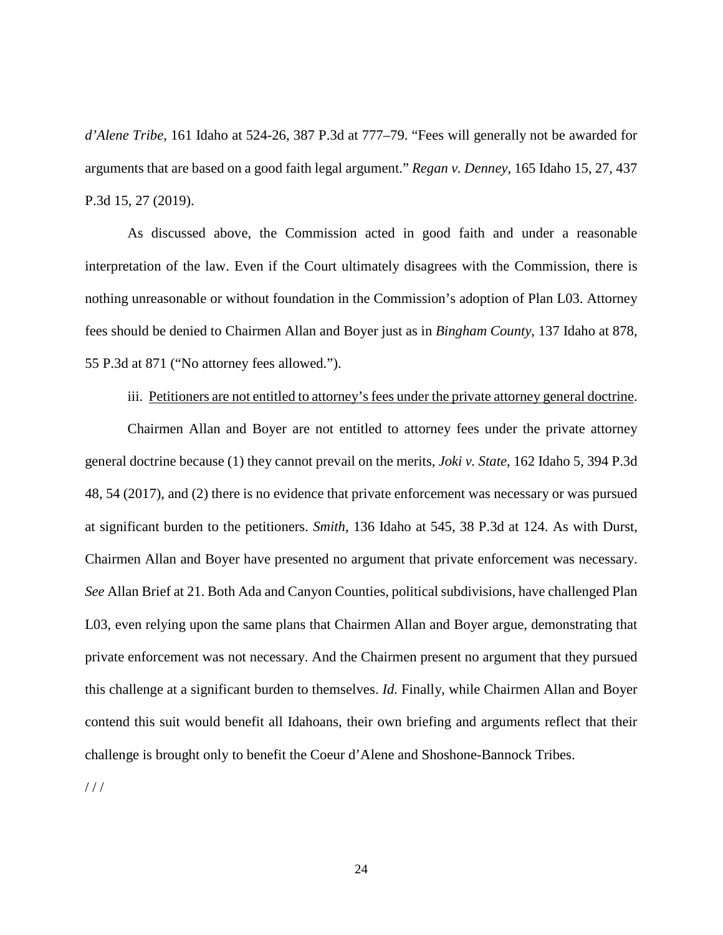*d'Alene Tribe*, 161 Idaho at 524-26, 387 P.3d at 777–79. "Fees will generally not be awarded for arguments that are based on a good faith legal argument." *Regan v. Denney*, 165 Idaho 15, 27, 437 P.3d 15, 27 (2019).

As discussed above, the Commission acted in good faith and under a reasonable interpretation of the law. Even if the Court ultimately disagrees with the Commission, there is nothing unreasonable or without foundation in the Commission's adoption of Plan L03. Attorney fees should be denied to Chairmen Allan and Boyer just as in *Bingham County*, 137 Idaho at 878, 55 P.3d at 871 ("No attorney fees allowed.").

#### iii. Petitioners are not entitled to attorney's fees under the private attorney general doctrine.

Chairmen Allan and Boyer are not entitled to attorney fees under the private attorney general doctrine because (1) they cannot prevail on the merits, *Joki v. State*, 162 Idaho 5, 394 P.3d 48, 54 (2017), and (2) there is no evidence that private enforcement was necessary or was pursued at significant burden to the petitioners. *Smith*, 136 Idaho at 545, 38 P.3d at 124. As with Durst, Chairmen Allan and Boyer have presented no argument that private enforcement was necessary. *See* Allan Brief at 21. Both Ada and Canyon Counties, political subdivisions, have challenged Plan L03, even relying upon the same plans that Chairmen Allan and Boyer argue, demonstrating that private enforcement was not necessary. And the Chairmen present no argument that they pursued this challenge at a significant burden to themselves. *Id.* Finally, while Chairmen Allan and Boyer contend this suit would benefit all Idahoans, their own briefing and arguments reflect that their challenge is brought only to benefit the Coeur d'Alene and Shoshone-Bannock Tribes.

 $1/1$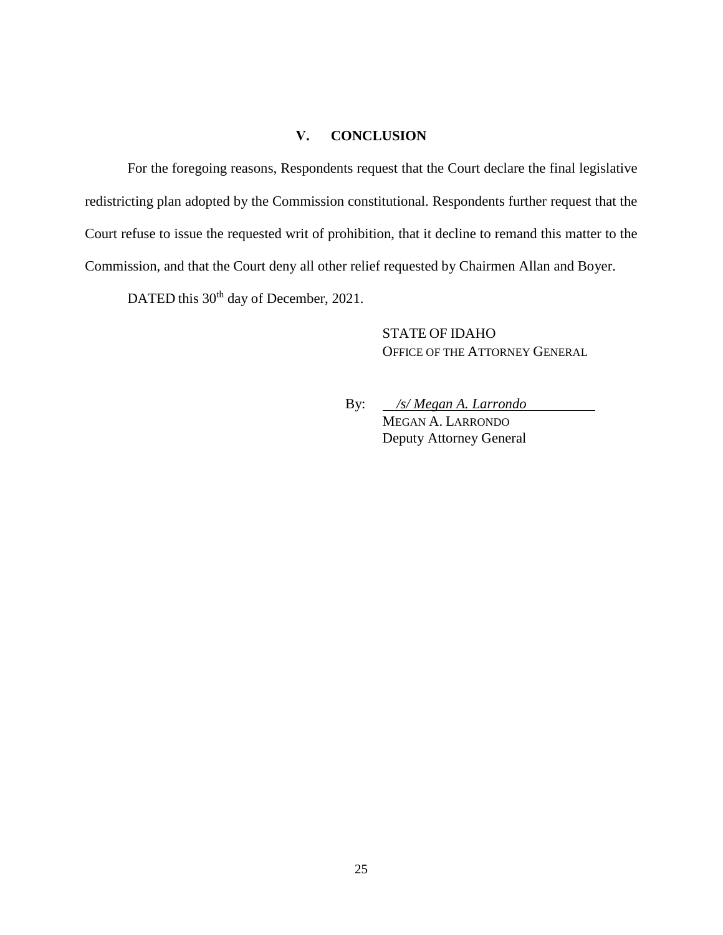### **V. CONCLUSION**

For the foregoing reasons, Respondents request that the Court declare the final legislative redistricting plan adopted by the Commission constitutional. Respondents further request that the Court refuse to issue the requested writ of prohibition, that it decline to remand this matter to the Commission, and that the Court deny all other relief requested by Chairmen Allan and Boyer.

DATED this 30<sup>th</sup> day of December, 2021.

STATE OF IDAHO OFFICE OF THE ATTORNEY GENERAL

By: */s/ Megan A. Larrondo* MEGAN A. LARRONDO Deputy Attorney General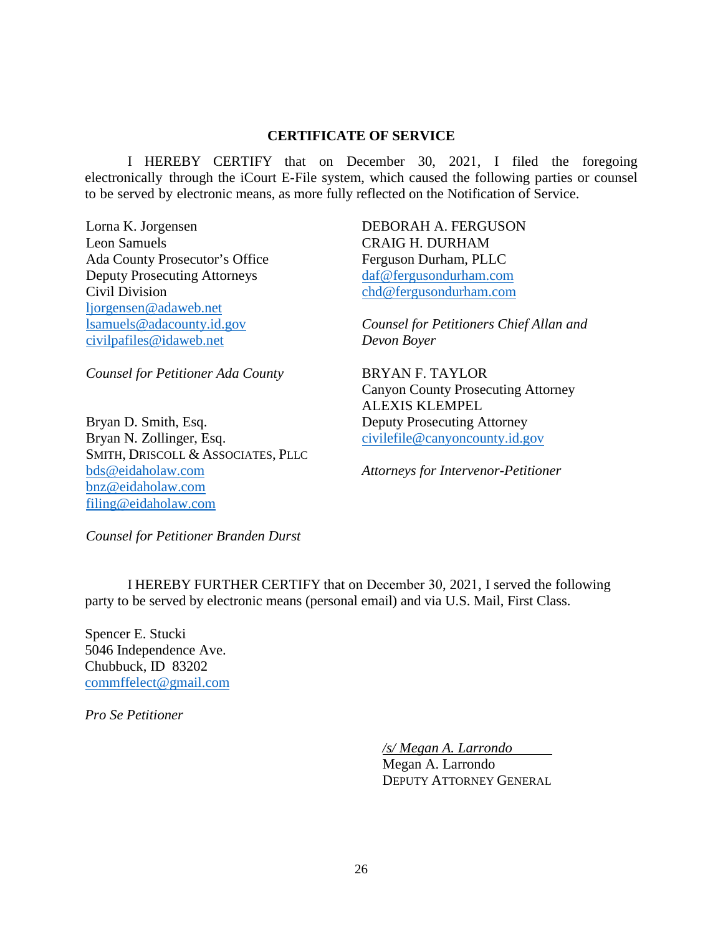### **CERTIFICATE OF SERVICE**

I HEREBY CERTIFY that on December 30, 2021, I filed the foregoing electronically through the iCourt E-File system, which caused the following parties or counsel to be served by electronic means, as more fully reflected on the Notification of Service.

Lorna K. Jorgensen Leon Samuels Ada County Prosecutor's Office Deputy Prosecuting Attorneys Civil Division [ljorgensen@adaweb.net](mailto:ljorgensen@adaweb.net)  [lsamuels@adacounty.id.gov](mailto:lsamuels@adacounty.id.gov)  [civilpafiles@idaweb.net](mailto:civilpafiles@idaweb.net) 

*Counsel for Petitioner Ada County* 

Bryan D. Smith, Esq. Bryan N. Zollinger, Esq. SMITH, DRISCOLL & ASSOCIATES, PLLC [bds@eidaholaw.com](mailto:bds@eidaholaw.com)  [bnz@eidaholaw.com](mailto:bnz@eidaholaw.com)  [filing@eidaholaw.com](mailto:filing@eidaholaw.com) 

DEBORAH A. FERGUSON CRAIG H. DURHAM Ferguson Durham, PLLC daf@fergusondurham.com chd@fergusondurham.com

*[Counsel for Petitioners Chi](mailto:daf@fergusondurham.com)ef Allan and [Devon Boyer](mailto:chd@fergusondurham.com)* 

BRYAN F. TAYLOR Canyon County Prosecuting Attorney ALEXIS KLEMPEL Deputy Prosecuting Attorney civilefile@canyoncounty.id.gov

*Attorneys for Intervenor-Petitioner* 

*Counsel for Petitioner Branden Durst* 

I HEREBY FURTHER CERTIFY that on December 30, 2021, I served the following party to be served by electronic means (personal email) and via U.S. Mail, First Class.

Spencer E. Stucki 5046 Independence Ave. Chubbuck, ID 83202 [commffelect@gmail.com](mailto:commffelect@gmail.com)

*Pro Se Petitioner* 

*/s/ Megan A. Larrondo*

Megan A. Larrondo DEPUTY ATTORNEY GENERAL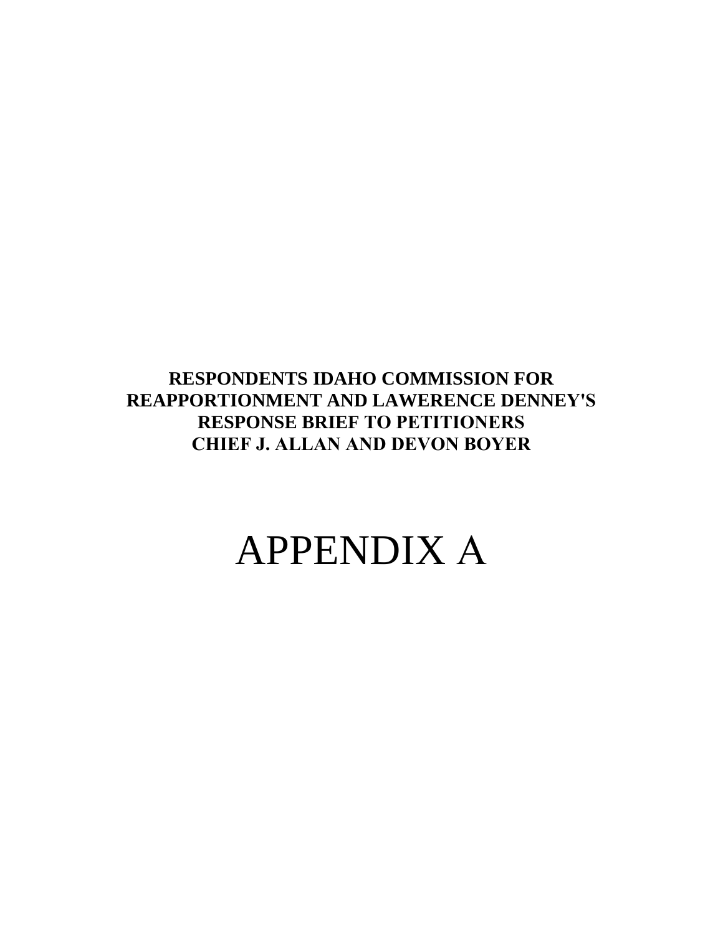**RESPONDENTS IDAHO COMMISSION FOR REAPPORTIONMENT AND LAWERENCE DENNEY'S RESPONSE BRIEF TO PETITIONERS CHIEF J. ALLAN AND DEVON BOYER**

## APPENDIX A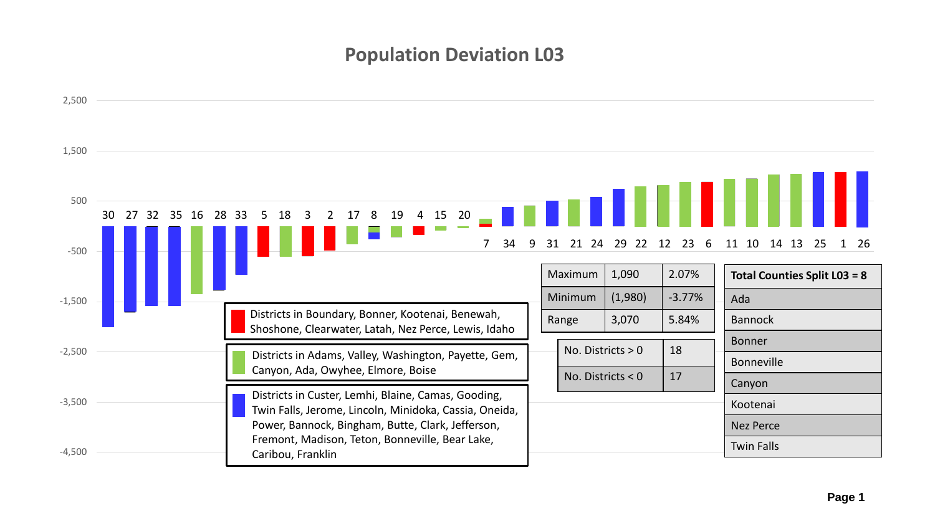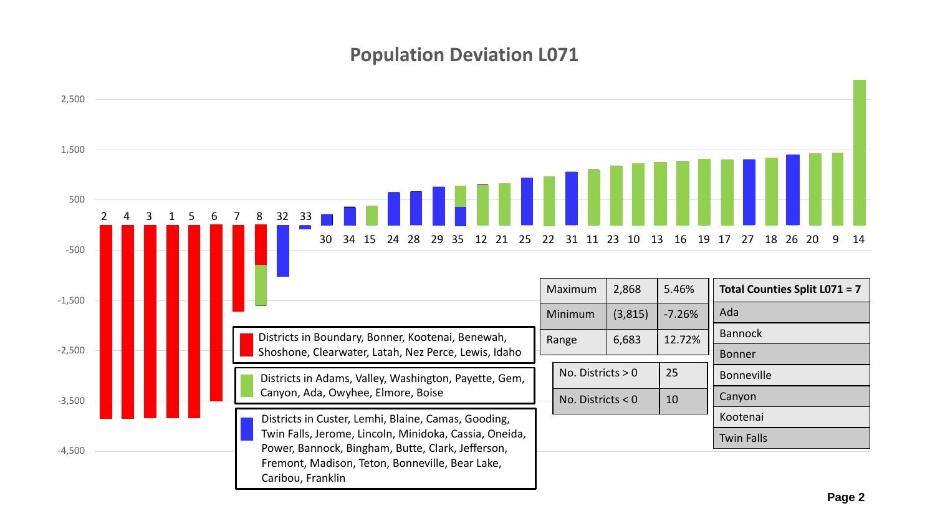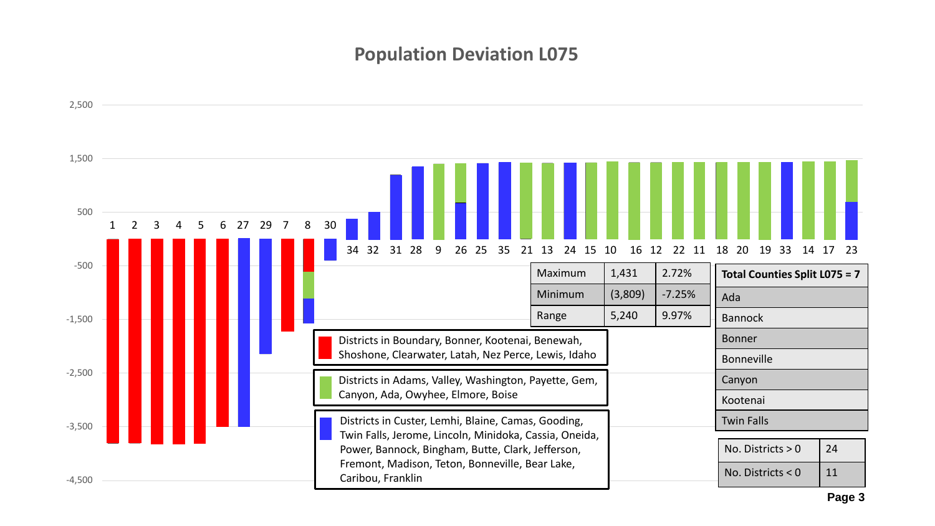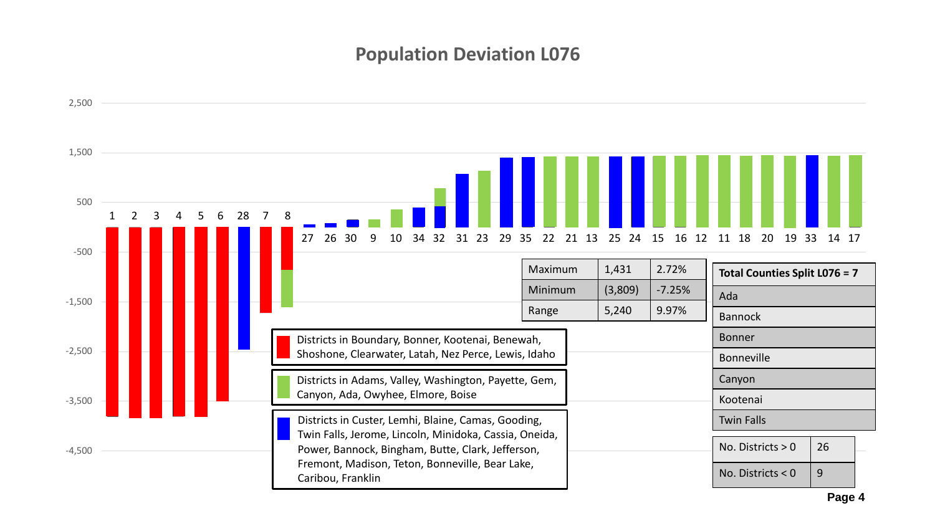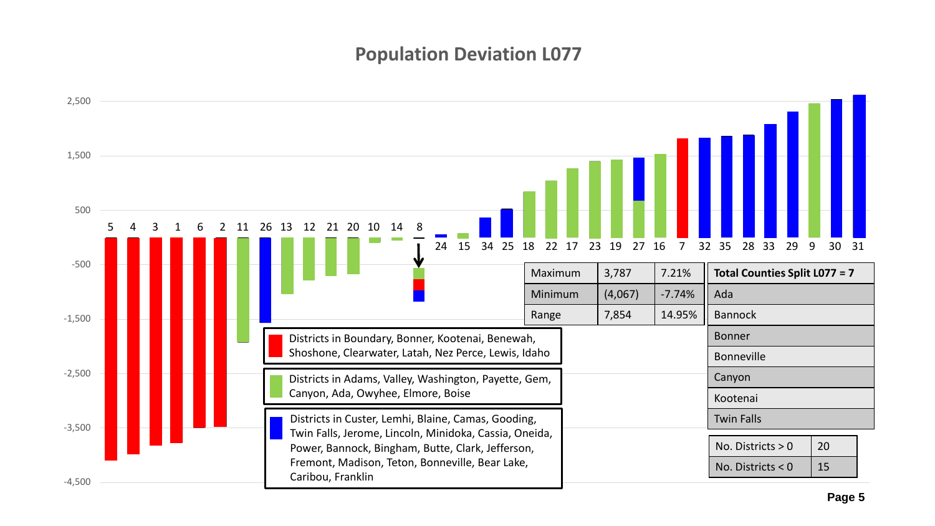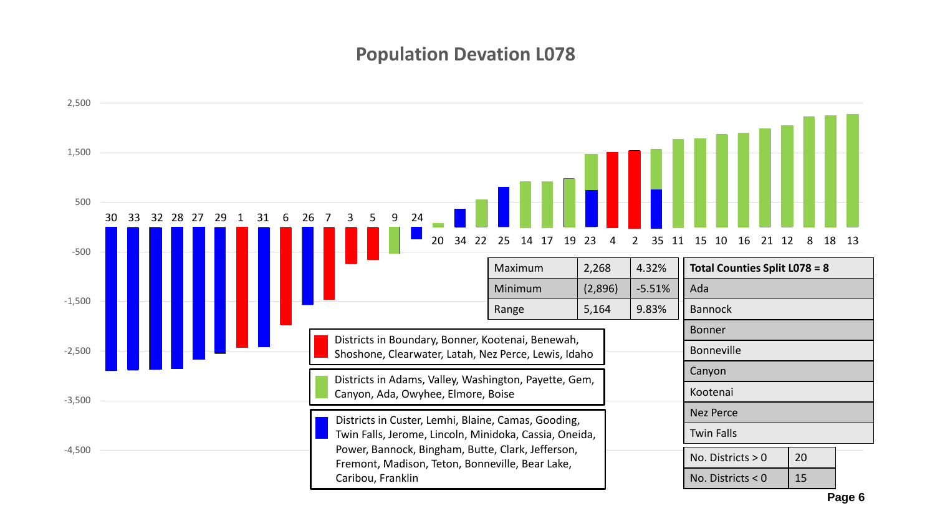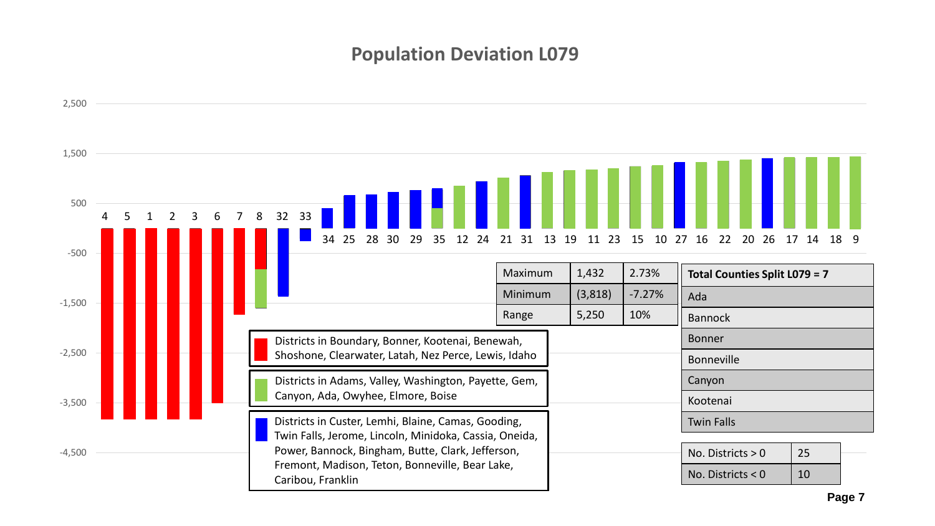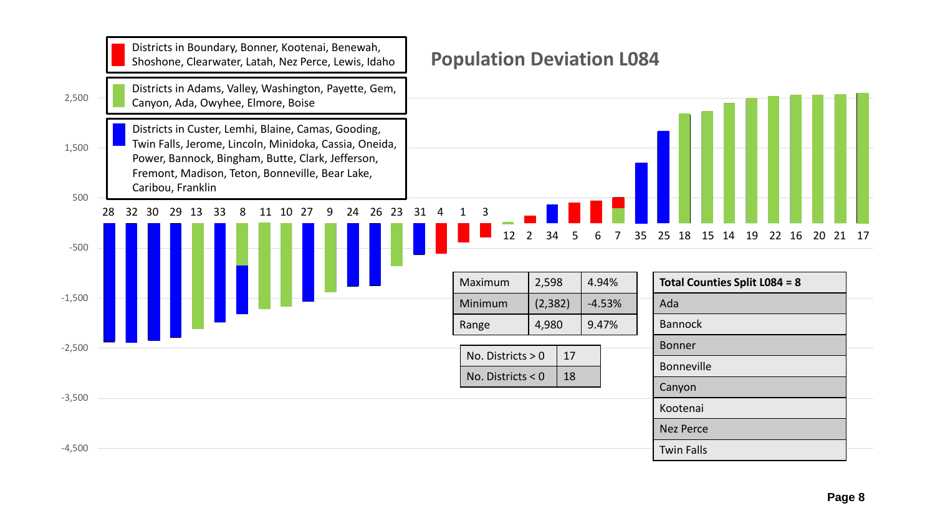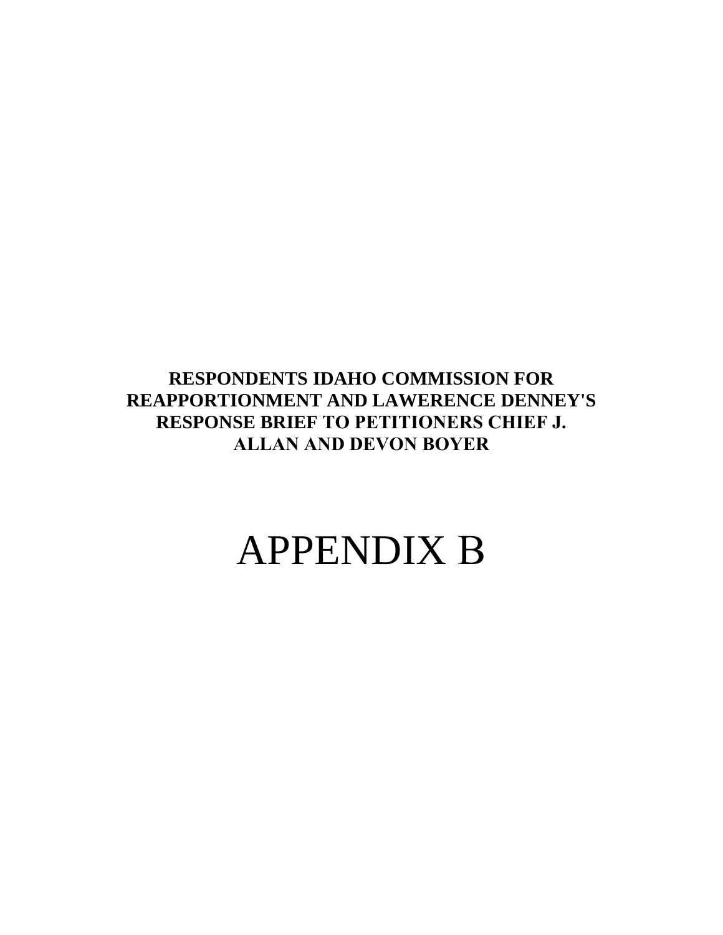**RESPONDENTS IDAHO COMMISSION FOR REAPPORTIONMENT AND LAWERENCE DENNEY'S RESPONSE BRIEF TO PETITIONERS CHIEF J. ALLAN AND DEVON BOYER**

# APPENDIX B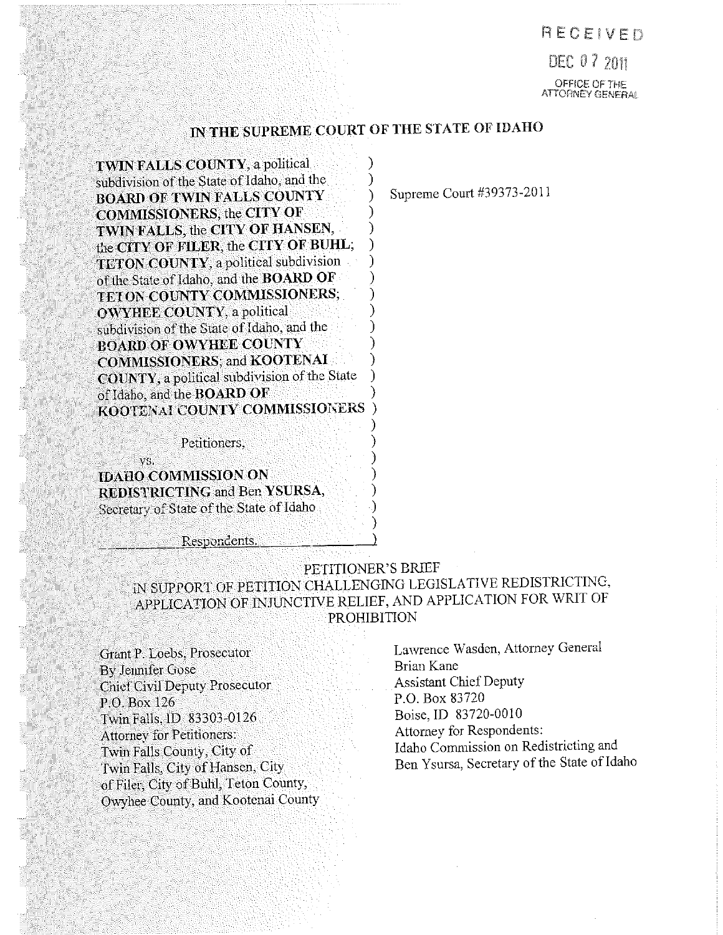### RECEIVER?

DEC 07 2011 OFFICE OF THE<br>ATTORNEY GENERAL

### IN THE SUPREME COURT OF THE STATE OF IDAHO

TWIN FALLS COUNTY, a political subdivision of the State of Idaho, and the BOARD OF TWIN FALLS COUNTY COMMISSIONERS, the CITY OF TWIN FALLS, the CITY OF HANSEN,  $_{\rm he}$  CITY OF FILER, the CITY OF BUHL; TETON COUNTY, a political subdivision of the State of Idaho, and the **BOARD OF** TETON COUNTY COMMISSIONERS;  $\overline{\textrm{OWYHIEE COUNTY}}$ , a political subdivision of the State of Idaho, and the BOARD OF OWYHEE COUNTY COMMISSIONERS; and KOOTENAI COUNTY, a political subdivision of the State<br>of Idaho, and the BOARD OF KOOTENAI COUNTY COMMISSIONERS

Petitioners,

vs. IDAHO COMMISSION ON REDISTRICTING and Ben YSURSA, Secretary of State of the State of Idaho

Respondents.

### 'PETITIONER'S BRIEF

IN SUPPORT OF PETITION CHALLENGING LEGISLATIVE REDISTRICTING, APPLICATION OF INJUNCTIVE RELIEF, AND APPLICATION FOR WRIT OF

By Jennifer Gose<br>Chief Civil Denuty Prosecutor **Brian Assistant Chief Deputy** Chief Civil Deputy Prosecutor Assistant Chief Deputy<br>
P.O. Box 126 P.O. Box 83720<br>
Twin Falls ID 83303-0126 Boise. ID 83720-0010 Twin Falls, ID 83303-0126 Boise, ID 83720-0010<br>Attorney for Petitioners Attorney for Petitioners:<br>Twin Falls County, City of Twin Falls County, City of Twin Falls County, City of Idaho Commission on Redistricting and<br>It Is Ben Ysursa, Secretary of the State of Idaho Commission on Redistricting and of Filer, City of Buhl, Teton County, Owyhee County, and Kootenai County

Grant P. Loebs, Prosecutor Lawrence Wasden, Attorney General<br>By Jennifer Guse Ben Ysursa, Secretary of the State of Idaho

Supreme Court #39373-2011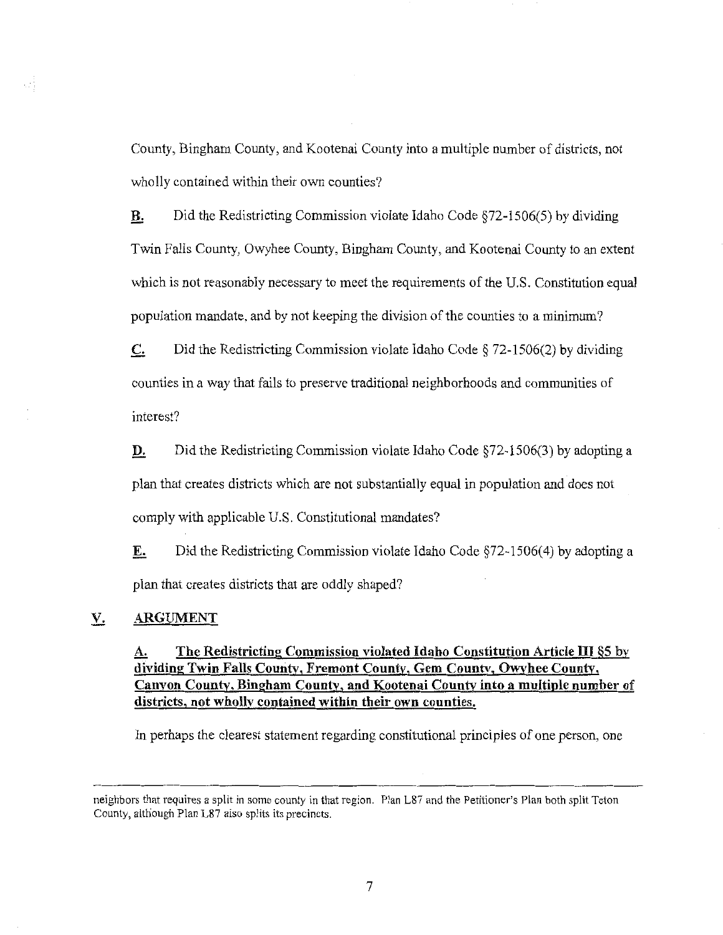County, Bingham County, and Kootenai County into a multiple number of districts, not wholly contained within their own counties?

**B.** Did the Redistricting Commission violate Idaho Code  $§72-1506(5)$  by dividing Twin Falls County, Owyhee County, Bingham County, and Kootenai County to an extent which is not reasonably necessary to meet the requirements of the U.S. Constitution equal population mandate, and by not keeping the division of the counties to minimum?

 $\mathbf{C}$ . Did the Redistricting Commission violate Idaho Code  $\S$  72-1506(2) by dividing counties in a way that fails to preserve traditional neighborhoods and communities of interest?

**D.** Did the Redistricting Commission violate Idaho Code  $$72-1506(3)$  by adopting a plan that creates districts which are not substantially equal in population and does not comply with applicable U.S. Constitutional mandates?

**E.** Did the Redistricting Commission violate Idaho Code  $\S$ 72-1506(4) by adopting a plan that creates districts that are oddly shaped?

#### $V_{\cdot}$ ARGUMENT

### A. The Redistricting Commission violated Idaho Constitution Article III §5 by dividing Twin Falls County, Fremont County, Gem County, Owyhee County, Canyon County, Bingham County, and Kootenai County into a multiple number of districts, not wholly contained within their own counties.

In perhaps the clearest statement regarding constitutional principles of one person, one

neighbors that requires a split in some county in that region. Plan L87 and the Petitioner's Plan both split Teton County, although Plan L87 also splits its precincts.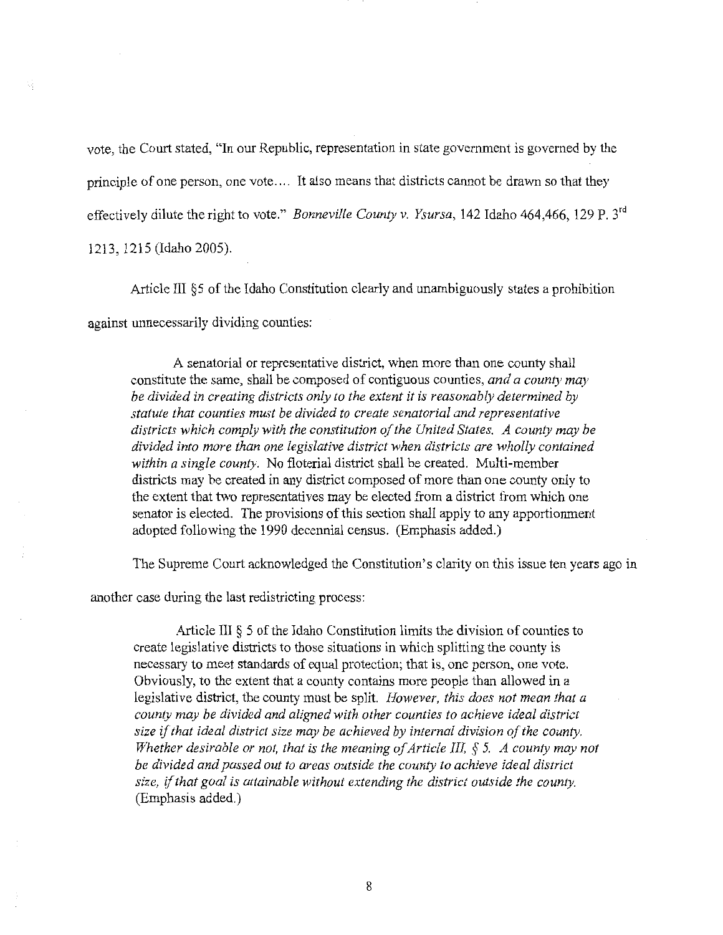vote, the Court stated, "In our Republic, representation in state government is governed by the principle of one person, one vote. .. It also means that districts cannot be drawn so that they effectively dilute the right to vote." *Bonneville County v. Ysursa*, 142 Idaho 464,466, 129 P. 3<sup>rd</sup> 1213, 1215 (Idaho 2005).

Article III §5 of the Idaho Constitution clearly and unambiguously states a prohibition against unnecessarily dividing counties:

A senatorial or representative district, when more than one county shall constitute the same, shall be composed of contiguous counties, and a county may be divided in creating districts only to the extent it is reasonably determined by statute that counties must be divided to create senatorial and representative districts which comply with the constitution of the United States. A county may be statute that counties must be alvided to create sendiorial and representative<br>districts which comply with the constitution of the United States. A county may be<br>divided into more than one legislative district when district districts may be created in any district composed of more than one county only to the extent that two representatives may be elected from a district from which one senator is elected. The provisions of this section shall apply to any apportionment adopted following the 1990 decennial census. (Emphasis added.)

The Supreme Court acknowledged the Constitution's clarity on this issue ten years ago in

another case during the last redistricting process:

Article III  $\S$  5 of the Idaho Constitution limits the division of counties to create legislative districts to those situations in which splitting the county is Extricte in § 5 of the raano Constitution infits the division of counties to<br>create legislative districts to those situations in which splitting the county is<br>mecessary to meet standards of equal protection; that is, one p legislative district, the county must be split. However, this does not mean that a county may be divided and aligned with other counties to achieve ideal district size if that ideal district size may be achieved by internal division of the county. Whether desirable or not, that is the meaning of Article III,  $\S$  5.  $\ A$  county may not size if that ideal district size may be achieved by internal<br>Whether desirable or not, that is the meaning of Article I.<br>be divided and passed out to areas outside the county to a<br>size, if that goal is attainable without a be divided and passed out to areas outside the county to achieve ideal district size, if that goal is attainable without extending the district outside the county. (Emphasis added.)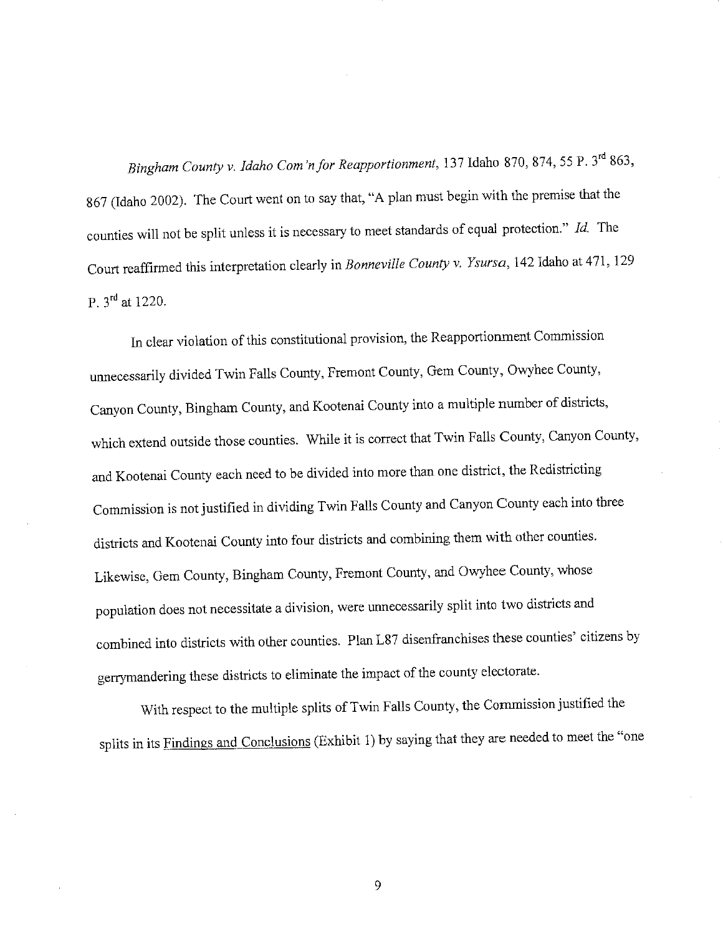Bingham County v. Idaho Com'n for Reapportionment, 137 Idaho 870, 874, 55 P. 3rd 863, <sup>867</sup> (Idaho 2002). The Court went on to say that, "A plan must begin with the premise that the counties will not be split unless it is necessary to meet standards of equal protection. The Court reaffirmed this interpretation clearly in Bonneville County v. Ysursa, <sup>142</sup> Idaho at 471, <sup>129</sup> P. 3rd at 1220.

In clear violation of this constitutional provision, the Reapportionment Commission unnecessarily divided Twin Falls County, Fremont County, Gem County, Owyhee County, Canyon County, Bingham County, and Kootenai County into a multiple number of districts, which extend outside those counties. While it is correct that Twin Falls County, Canyon County, and Kootenal County each need to be divided into more than one distriction Commission is not justified in dividing Twin Falls County and Canyon County each into three districts and Kootenai County into four districts and combining them with other counties. Likewise, Gem County, Bingham County, Fremont County, and Owyhee County, whose population does not necessitate a division, were unnecessarily split and two district combined into districts with other counties. Plan L87 disenfranchises these counties" citizens by gerrymandering these districts to eliminate the impact of the county electorate.

With respect to the multiple splits of Twin Falls County, the Commission justified the in its Findings and Conclusions (Exhibit 1) by saying that they are needed to meet the "one

9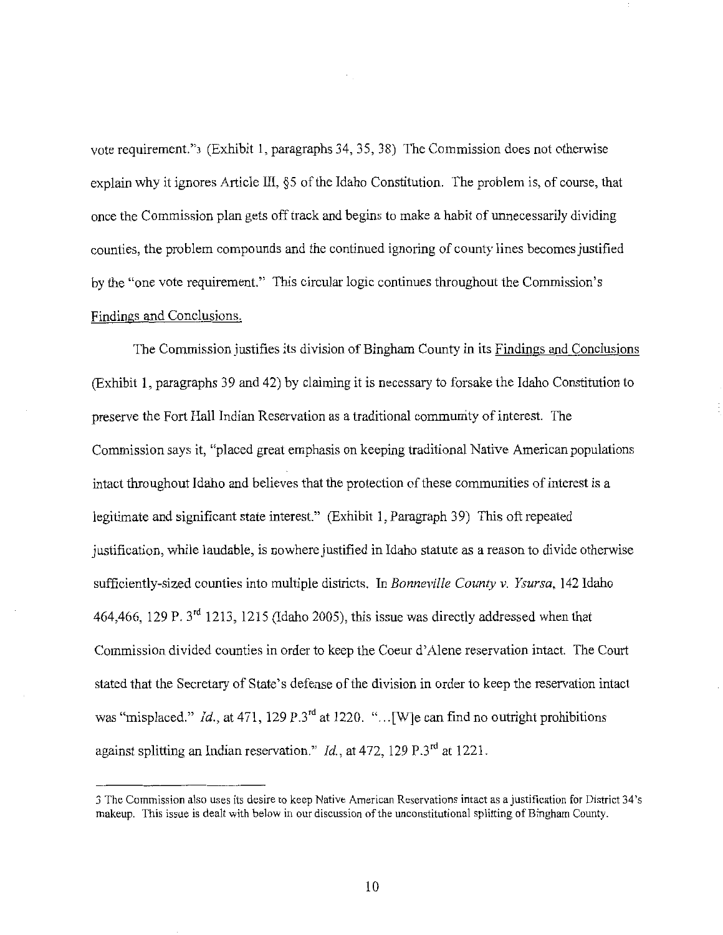vote requirement."3 (Exhibit 1, paragraphs 34, 35, 38) The Commission does not otherwise explain why it ignores Article III, §5 of the Idaho Constitution. The problem is, of course, that once the Commission plan gets off track and begins to make a habit of unnecessarily dividing counties, the problem compounds and the continued ignoring of county lines becomes justified by the "one vote requirement." This circular logic continues throughout the Commission's Findings and Conclusions.

The Commission justifies its division of Bingham County in its Findings and Conclusions (Exhibit 1, paragraphs <sup>39</sup> and 42) by claiming it is necessary to forsake the Idaho Constitution to preserve the Fort Hall Indian Reservation as a traditional community of interest. The Commission says it, "placed great emphasis on keeping traditional Native American populations intact throughout Idaho and believes that the protection of these communities of interest is a legitimate and significant state interest." (Exhibit l, Paragraph 39) This oft repeated justification, while laudable, is nowhere justified in Idaho statute as a reason to divide otherwise sufficiently-sized counties into multiple districts. In Bonneville County v. Ysursa, 142 Idaho 464,466, <sup>129</sup> P. 3rd 1213, <sup>1215</sup> (Idaho 2005), this issue was directly addressed when that Commission divided counties in order to keep the Coeur d'Alene reservation intact. The Court stated that the Secretary of State's defense of the division in order to keep the reservation intact was "misplaced." *Id.*, at 471, 129 P.3<sup>rd</sup> at 1220. "... [W] e can find no outright prohibitions gainst splitting an Indian reservation."  $Id$ , at 472, 129  $P \cdot 3^{rd}$  at 1221.

The Commission also uses its desire to keep Native American Reservations intact as justification for District 34's makeup. This issue is dealt with below in our discussion of the unconstitutional splitting of Bingham County.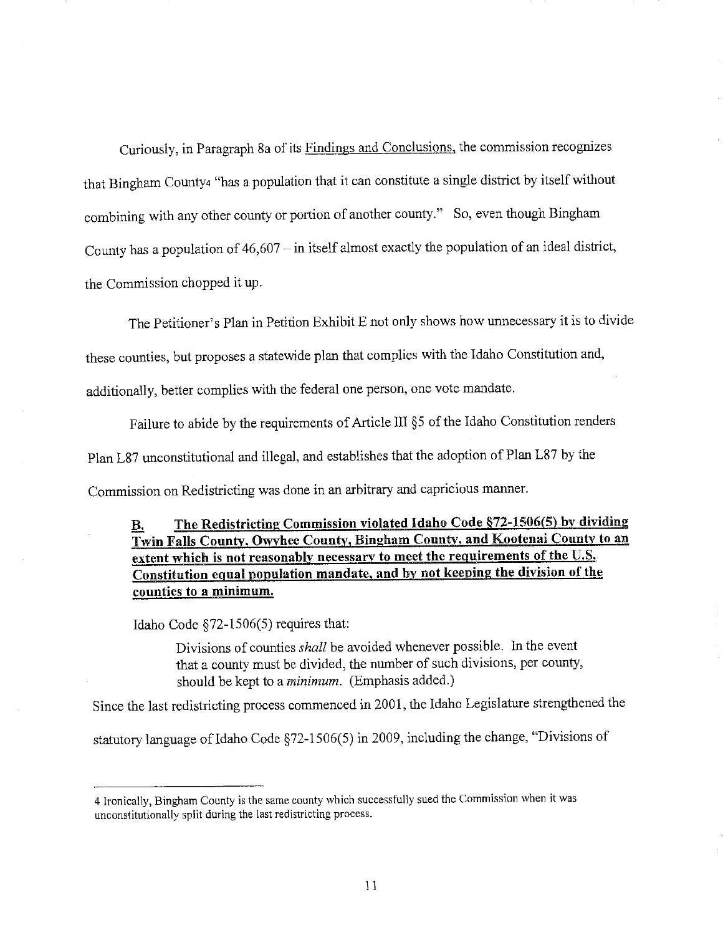Curiously, in Paragraph 8a of its Findings and Conclusions, the commission recognizes that Bingham County4 "has a population that it can constitute a single district by itself without combining with any other county or portion of another county." So, even though Bingham County has a population of  $46,607 -$  in itself almost exactly the population of an ideal district, the Commission chopped it up.

The Petitioner's Plan in Petition Exhibit E not only shows how unnecessary it is to divide

these counties, but proposes a statewide plan that complies with the Idaho Constitution and,

additionally, better complies with the federal one person, one vote mandate.

Failure to abide by the requirements of Article III §5 of the Idaho Constitution renders

Plan L87 unconstitutional and illegal, and establishes that the adoption of Plan L87 by the

Commission on Redistricting was done in an arbitrary and capricious manner.

#### The Redistricting Commission violated Idaho Code §72-1506(5) by dividing В. Twin Falls County, Owyhee County, Bingham County, and Kootenai County to an extent which is not reasonably necessary to meet the requirements of the U.S. Constitution egual population mandate, and by not keeping the division of the counties to a minimum.

Idaho Code §72—1506(5) requires that:

Divisions of counties *shall* be avoided whenever possible. In the event that a county must be divided, the number of such divisions, per county, should be kept to a *minimum*. (Emphasis added.)

Since the last redistricting process commenced in 2001, the Idaho Legislature strengthened the

statutory language of Idaho Code §72-1506(5) in 2009, including the change, "Divisions of

<sup>4</sup> Ironically, Bingham County is the same county which successfully sued the Commission when it was unconstitutionally split during the last redistricting process.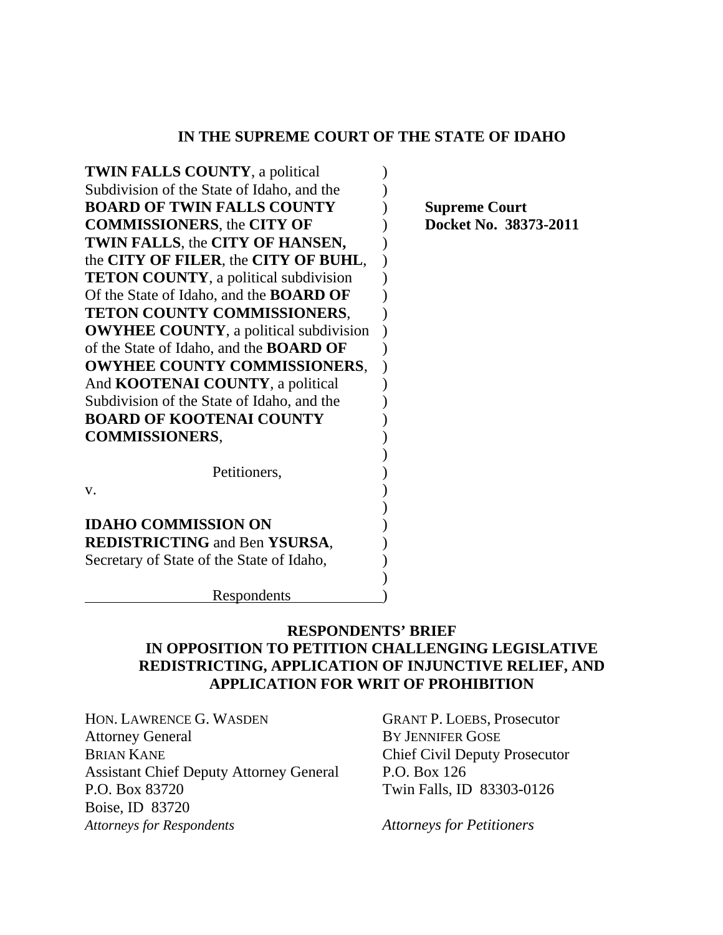### **IN THE SUPREME COURT OF THE STATE OF IDAHO**

| <b>TWIN FALLS COUNTY</b> , a political         |  |
|------------------------------------------------|--|
| Subdivision of the State of Idaho, and the     |  |
| <b>BOARD OF TWIN FALLS COUNTY</b>              |  |
| <b>COMMISSIONERS, the CITY OF</b>              |  |
| TWIN FALLS, the CITY OF HANSEN,                |  |
| the CITY OF FILER, the CITY OF BUHL,           |  |
| <b>TETON COUNTY</b> , a political subdivision  |  |
| Of the State of Idaho, and the <b>BOARD OF</b> |  |
| TETON COUNTY COMMISSIONERS,                    |  |
| <b>OWYHEE COUNTY</b> , a political subdivision |  |
| of the State of Idaho, and the <b>BOARD OF</b> |  |
| <b>OWYHEE COUNTY COMMISSIONERS,</b>            |  |
| And <b>KOOTENAI COUNTY</b> , a political       |  |
| Subdivision of the State of Idaho, and the     |  |
| <b>BOARD OF KOOTENAI COUNTY</b>                |  |
| <b>COMMISSIONERS,</b>                          |  |
|                                                |  |
| Petitioners,                                   |  |
| V.                                             |  |
|                                                |  |
| <b>IDAHO COMMISSION ON</b>                     |  |
| <b>REDISTRICTING and Ben YSURSA,</b>           |  |
| Secretary of State of the State of Idaho,      |  |
|                                                |  |

**Supreme Court Docket No. 38373-2011** 

Respondents )

### **RESPONDENTS' BRIEF IN OPPOSITION TO PETITION CHALLENGING LEGISLATIVE REDISTRICTING, APPLICATION OF INJUNCTIVE RELIEF, AND APPLICATION FOR WRIT OF PROHIBITION**

HON. LAWRENCE G. WASDEN GRANT P. LOEBS, Prosecutor Attorney General BY JENNIFER GOSE BRIAN KANE Chief Civil Deputy Prosecutor Assistant Chief Deputy Attorney General P.O. Box 126 P.O. Box 83720 Twin Falls, ID 83303-0126 Boise, ID 83720 *Attorneys for Respondents Attorneys for Petitioners*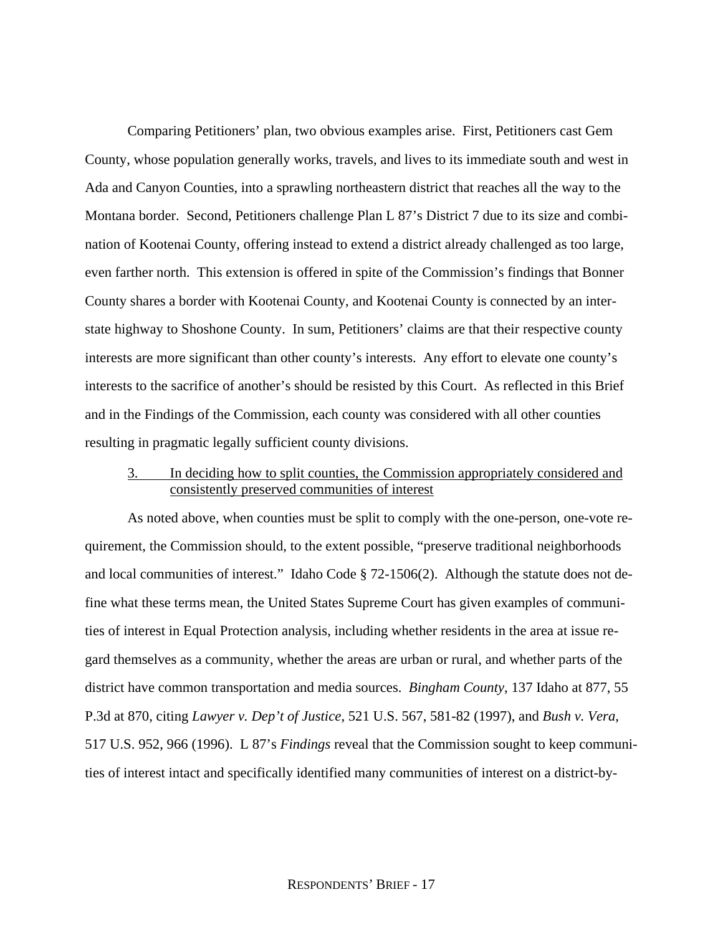Comparing Petitioners' plan, two obvious examples arise. First, Petitioners cast Gem County, whose population generally works, travels, and lives to its immediate south and west in Ada and Canyon Counties, into a sprawling northeastern district that reaches all the way to the Montana border. Second, Petitioners challenge Plan L 87's District 7 due to its size and combination of Kootenai County, offering instead to extend a district already challenged as too large, even farther north. This extension is offered in spite of the Commission's findings that Bonner County shares a border with Kootenai County, and Kootenai County is connected by an interstate highway to Shoshone County. In sum, Petitioners' claims are that their respective county interests are more significant than other county's interests. Any effort to elevate one county's interests to the sacrifice of another's should be resisted by this Court. As reflected in this Brief and in the Findings of the Commission, each county was considered with all other counties resulting in pragmatic legally sufficient county divisions.

### 3. In deciding how to split counties, the Commission appropriately considered and consistently preserved communities of interest

 As noted above, when counties must be split to comply with the one-person, one-vote requirement, the Commission should, to the extent possible, "preserve traditional neighborhoods and local communities of interest." Idaho Code § 72-1506(2). Although the statute does not define what these terms mean, the United States Supreme Court has given examples of communities of interest in Equal Protection analysis, including whether residents in the area at issue regard themselves as a community, whether the areas are urban or rural, and whether parts of the district have common transportation and media sources. *Bingham County*, 137 Idaho at 877, 55 P.3d at 870, citing *Lawyer v. Dep't of Justice*, 521 U.S. 567, 581-82 (1997), and *Bush v. Vera*, 517 U.S. 952, 966 (1996). L 87's *Findings* reveal that the Commission sought to keep communities of interest intact and specifically identified many communities of interest on a district-by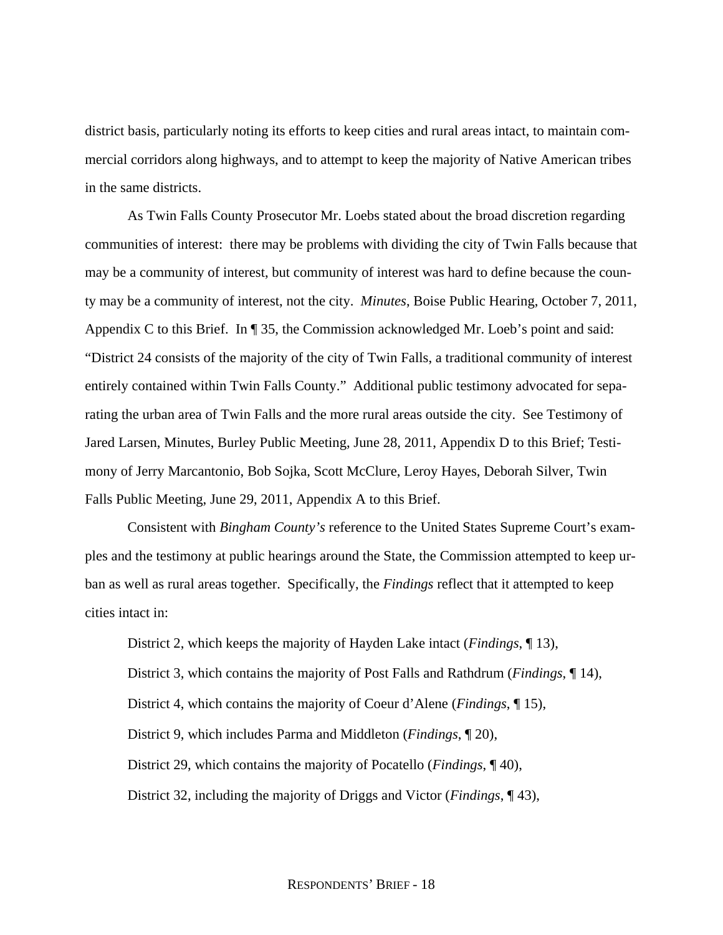district basis, particularly noting its efforts to keep cities and rural areas intact, to maintain commercial corridors along highways, and to attempt to keep the majority of Native American tribes in the same districts.

 As Twin Falls County Prosecutor Mr. Loebs stated about the broad discretion regarding communities of interest: there may be problems with dividing the city of Twin Falls because that may be a community of interest, but community of interest was hard to define because the county may be a community of interest, not the city. *Minutes*, Boise Public Hearing, October 7, 2011, Appendix C to this Brief. In ¶ 35, the Commission acknowledged Mr. Loeb's point and said: "District 24 consists of the majority of the city of Twin Falls, a traditional community of interest entirely contained within Twin Falls County." Additional public testimony advocated for separating the urban area of Twin Falls and the more rural areas outside the city. See Testimony of Jared Larsen, Minutes, Burley Public Meeting, June 28, 2011, Appendix D to this Brief; Testimony of Jerry Marcantonio, Bob Sojka, Scott McClure, Leroy Hayes, Deborah Silver, Twin Falls Public Meeting, June 29, 2011, Appendix A to this Brief.

 Consistent with *Bingham County's* reference to the United States Supreme Court's examples and the testimony at public hearings around the State, the Commission attempted to keep urban as well as rural areas together. Specifically, the *Findings* reflect that it attempted to keep cities intact in:

District 2, which keeps the majority of Hayden Lake intact (*Findings*, ¶ 13), District 3, which contains the majority of Post Falls and Rathdrum (*Findings*, ¶ 14), District 4, which contains the majority of Coeur d'Alene (*Findings*, ¶ 15), District 9, which includes Parma and Middleton (*Findings*, ¶ 20), District 29, which contains the majority of Pocatello (*Findings*, ¶ 40), District 32, including the majority of Driggs and Victor (*Findings*, ¶ 43),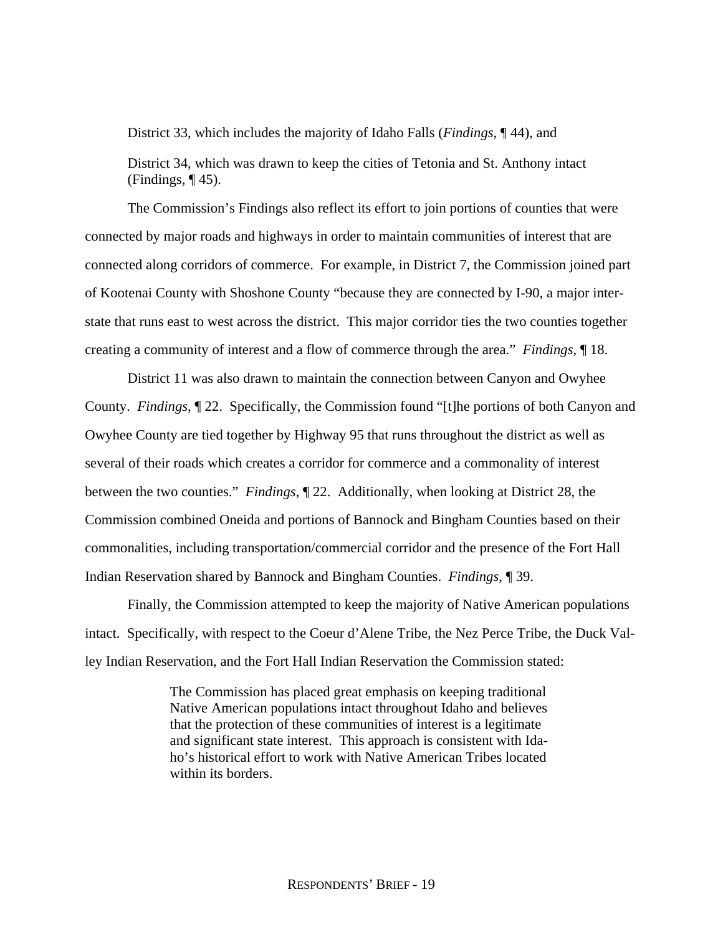District 33, which includes the majority of Idaho Falls (*Findings*, ¶ 44), and

District 34, which was drawn to keep the cities of Tetonia and St. Anthony intact (Findings,  $\P$ 45).

 The Commission's Findings also reflect its effort to join portions of counties that were connected by major roads and highways in order to maintain communities of interest that are connected along corridors of commerce. For example, in District 7, the Commission joined part of Kootenai County with Shoshone County "because they are connected by I-90, a major interstate that runs east to west across the district. This major corridor ties the two counties together creating a community of interest and a flow of commerce through the area." *Findings*, ¶ 18.

 District 11 was also drawn to maintain the connection between Canyon and Owyhee County. *Findings*, ¶ 22. Specifically, the Commission found "[t]he portions of both Canyon and Owyhee County are tied together by Highway 95 that runs throughout the district as well as several of their roads which creates a corridor for commerce and a commonality of interest between the two counties." *Findings*, ¶ 22. Additionally, when looking at District 28, the Commission combined Oneida and portions of Bannock and Bingham Counties based on their commonalities, including transportation/commercial corridor and the presence of the Fort Hall Indian Reservation shared by Bannock and Bingham Counties. *Findings*, ¶ 39.

 Finally, the Commission attempted to keep the majority of Native American populations intact. Specifically, with respect to the Coeur d'Alene Tribe, the Nez Perce Tribe, the Duck Valley Indian Reservation, and the Fort Hall Indian Reservation the Commission stated:

> The Commission has placed great emphasis on keeping traditional Native American populations intact throughout Idaho and believes that the protection of these communities of interest is a legitimate and significant state interest. This approach is consistent with Idaho's historical effort to work with Native American Tribes located within its borders.